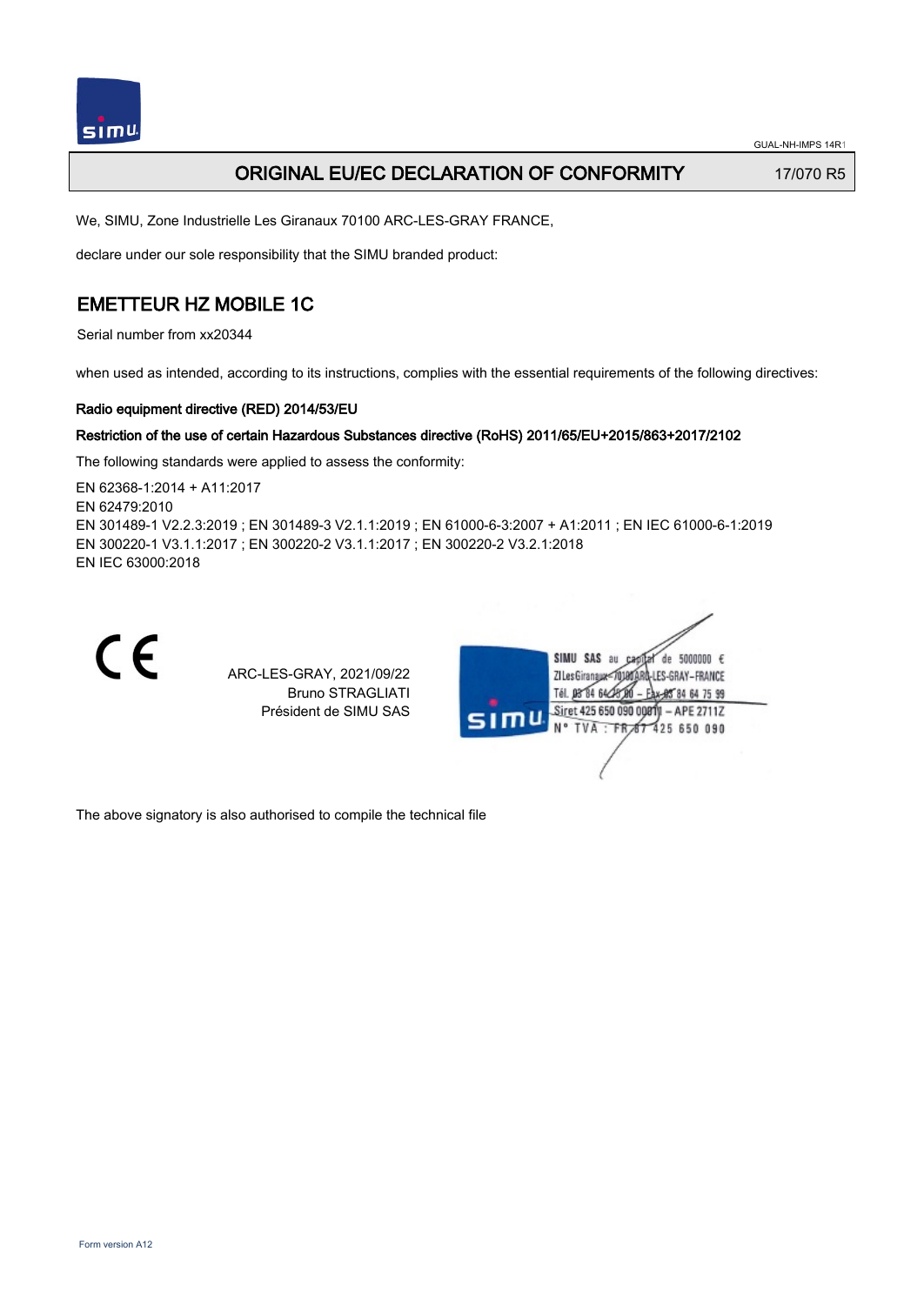

## ORIGINAL EU/EC DECLARATION OF CONFORMITY 17/070 R5

We, SIMU, Zone Industrielle Les Giranaux 70100 ARC-LES-GRAY FRANCE,

declare under our sole responsibility that the SIMU branded product:

## EMETTEUR HZ MOBILE 1C

Serial number from xx20344

when used as intended, according to its instructions, complies with the essential requirements of the following directives:

### Radio equipment directive (RED) 2014/53/EU

### Restriction of the use of certain Hazardous Substances directive (RoHS) 2011/65/EU+2015/863+2017/2102

The following standards were applied to assess the conformity:

EN 62368‑1:2014 + A11:2017 EN 62479:2010 EN 301489‑1 V2.2.3:2019 ; EN 301489‑3 V2.1.1:2019 ; EN 61000‑6‑3:2007 + A1:2011 ; EN IEC 61000‑6‑1:2019 EN 300220‑1 V3.1.1:2017 ; EN 300220‑2 V3.1.1:2017 ; EN 300220‑2 V3.2.1:2018 EN IEC 63000:2018



ARC-LES-GRAY, 2021/09/22 Bruno STRAGLIATI Président de SIMU SAS



The above signatory is also authorised to compile the technical file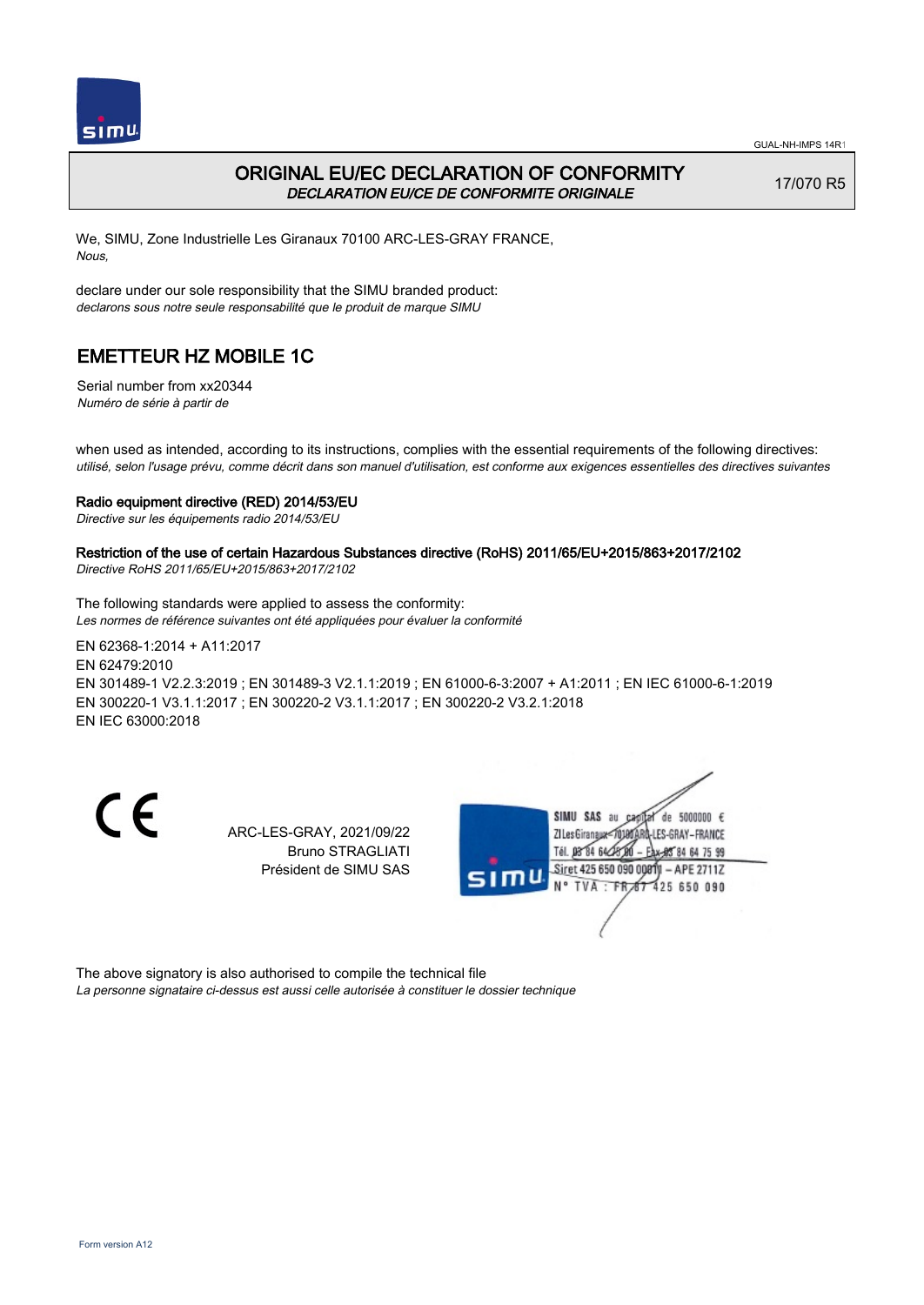

## ORIGINAL EU/EC DECLARATION OF CONFORMITY DECLARATION EU/CE DE CONFORMITE ORIGINALE

17/070 R5

We, SIMU, Zone Industrielle Les Giranaux 70100 ARC-LES-GRAY FRANCE, Nous,

declare under our sole responsibility that the SIMU branded product: declarons sous notre seule responsabilité que le produit de marque SIMU

# EMETTEUR HZ MOBILE 1C

Serial number from xx20344 Numéro de série à partir de

when used as intended, according to its instructions, complies with the essential requirements of the following directives: utilisé, selon l'usage prévu, comme décrit dans son manuel d'utilisation, est conforme aux exigences essentielles des directives suivantes

#### Radio equipment directive (RED) 2014/53/EU

Directive sur les équipements radio 2014/53/EU

### Restriction of the use of certain Hazardous Substances directive (RoHS) 2011/65/EU+2015/863+2017/2102

Directive RoHS 2011/65/EU+2015/863+2017/2102

The following standards were applied to assess the conformity: Les normes de référence suivantes ont été appliquées pour évaluer la conformité

EN 62368‑1:2014 + A11:2017 EN 62479:2010 EN 301489‑1 V2.2.3:2019 ; EN 301489‑3 V2.1.1:2019 ; EN 61000‑6‑3:2007 + A1:2011 ; EN IEC 61000‑6‑1:2019 EN 300220‑1 V3.1.1:2017 ; EN 300220‑2 V3.1.1:2017 ; EN 300220‑2 V3.2.1:2018 EN IEC 63000:2018

CE

ARC-LES-GRAY, 2021/09/22 Bruno STRAGLIATI Président de SIMU SAS



The above signatory is also authorised to compile the technical file La personne signataire ci-dessus est aussi celle autorisée à constituer le dossier technique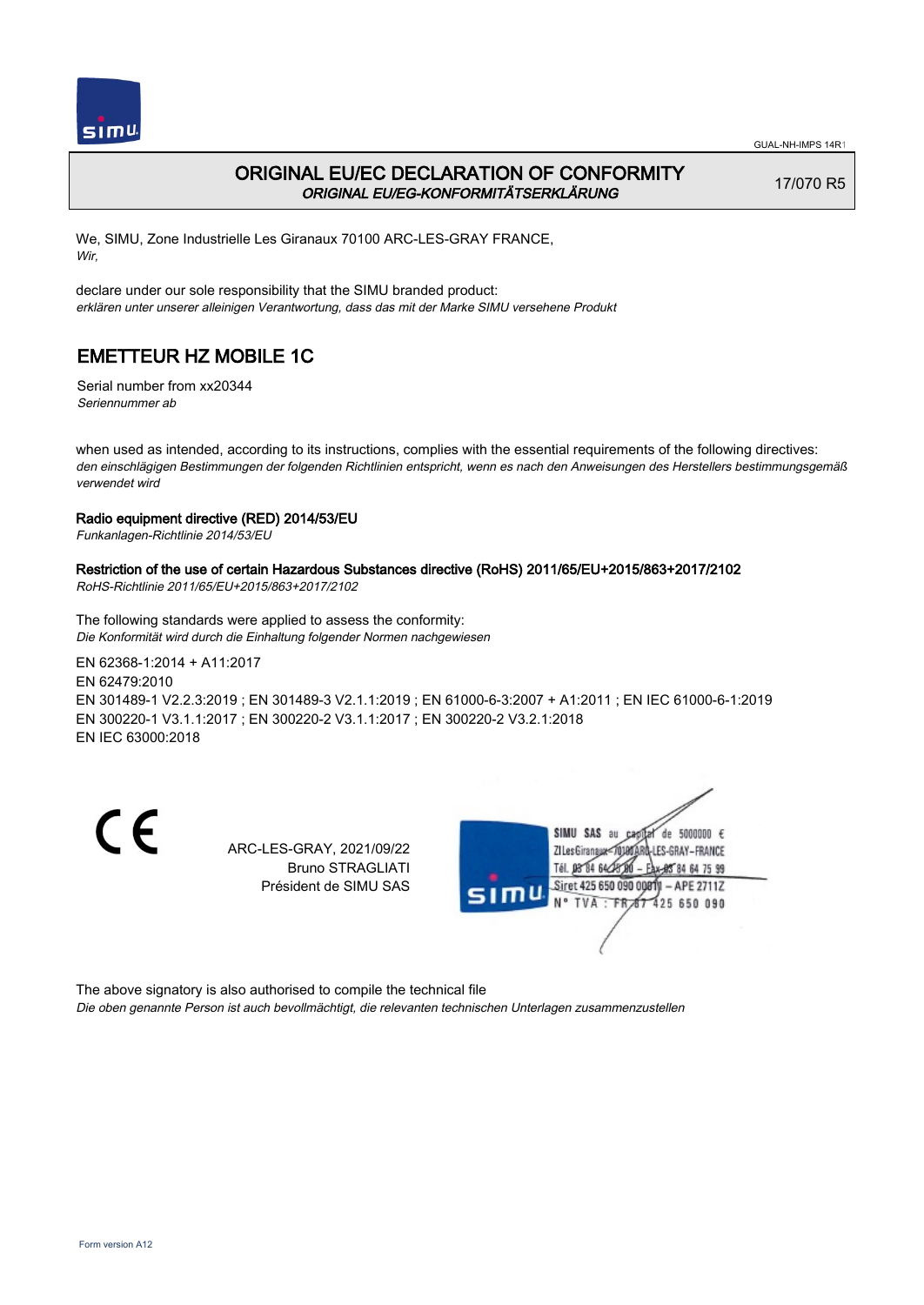

### ORIGINAL EU/EC DECLARATION OF CONFORMITY ORIGINAL EU/EG-KONFORMITÄTSERKLÄRUNG

17/070 R5

We, SIMU, Zone Industrielle Les Giranaux 70100 ARC-LES-GRAY FRANCE, Wir,

declare under our sole responsibility that the SIMU branded product: erklären unter unserer alleinigen Verantwortung, dass das mit der Marke SIMU versehene Produkt

# EMETTEUR HZ MOBILE 1C

Serial number from xx20344 Seriennummer ab

when used as intended, according to its instructions, complies with the essential requirements of the following directives: den einschlägigen Bestimmungen der folgenden Richtlinien entspricht, wenn es nach den Anweisungen des Herstellers bestimmungsgemäß verwendet wird

### Radio equipment directive (RED) 2014/53/EU

Funkanlagen-Richtlinie 2014/53/EU

#### Restriction of the use of certain Hazardous Substances directive (RoHS) 2011/65/EU+2015/863+2017/2102

RoHS-Richtlinie 2011/65/EU+2015/863+2017/2102

The following standards were applied to assess the conformity: Die Konformität wird durch die Einhaltung folgender Normen nachgewiesen

EN 62368‑1:2014 + A11:2017 EN 62479:2010 EN 301489‑1 V2.2.3:2019 ; EN 301489‑3 V2.1.1:2019 ; EN 61000‑6‑3:2007 + A1:2011 ; EN IEC 61000‑6‑1:2019 EN 300220‑1 V3.1.1:2017 ; EN 300220‑2 V3.1.1:2017 ; EN 300220‑2 V3.2.1:2018 EN IEC 63000:2018

CE

ARC-LES-GRAY, 2021/09/22 Bruno STRAGLIATI Président de SIMU SAS



The above signatory is also authorised to compile the technical file

Die oben genannte Person ist auch bevollmächtigt, die relevanten technischen Unterlagen zusammenzustellen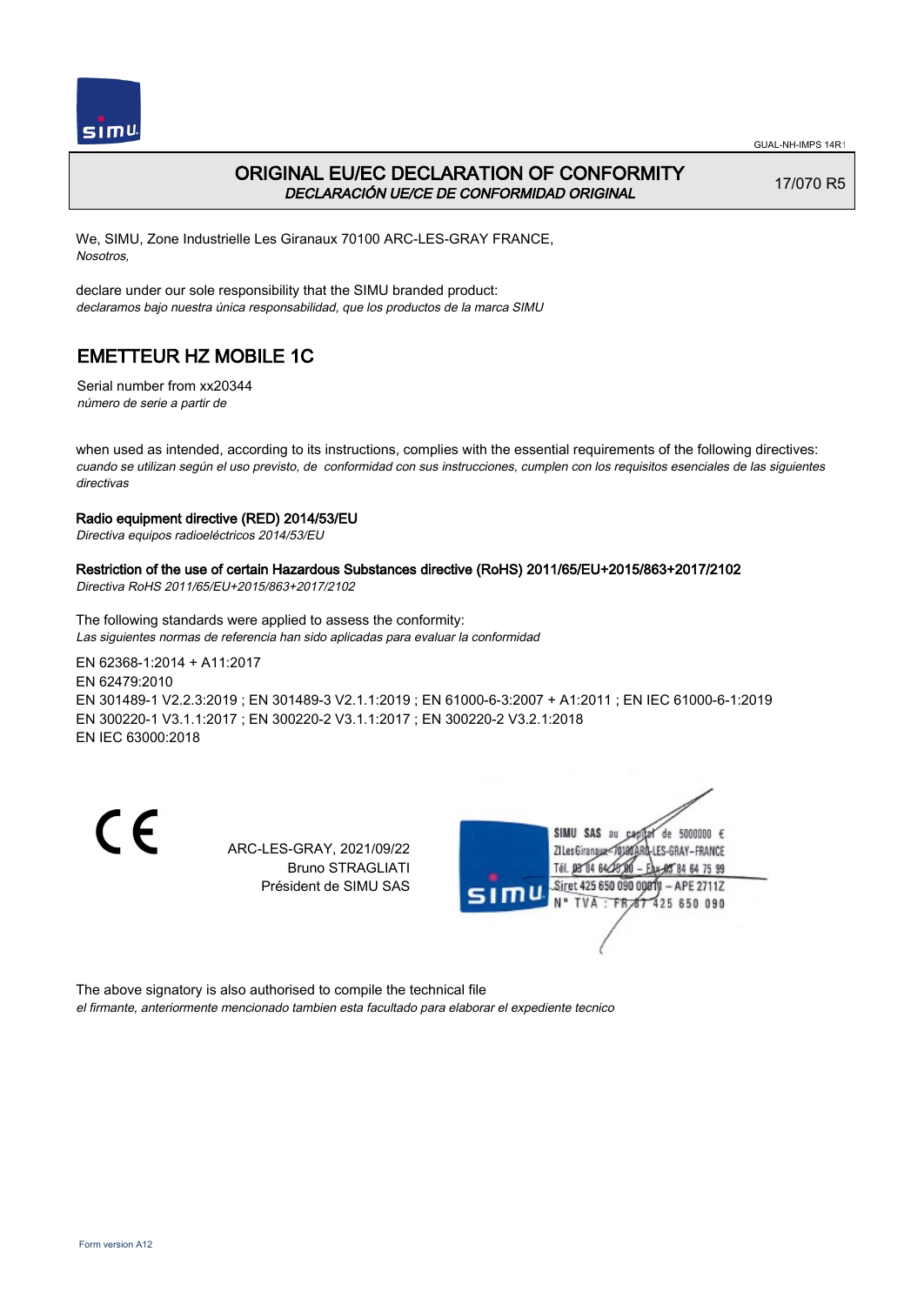



## ORIGINAL EU/EC DECLARATION OF CONFORMITY DECLARACIÓN UE/CE DE CONFORMIDAD ORIGINAL

17/070 R5

We, SIMU, Zone Industrielle Les Giranaux 70100 ARC-LES-GRAY FRANCE, Nosotros,

declare under our sole responsibility that the SIMU branded product: declaramos bajo nuestra única responsabilidad, que los productos de la marca SIMU

## EMETTEUR HZ MOBILE 1C

Serial number from xx20344 número de serie a partir de

when used as intended, according to its instructions, complies with the essential requirements of the following directives: cuando se utilizan según el uso previsto, de conformidad con sus instrucciones, cumplen con los requisitos esenciales de las siguientes directivas

### Radio equipment directive (RED) 2014/53/EU

Directiva equipos radioeléctricos 2014/53/EU

### Restriction of the use of certain Hazardous Substances directive (RoHS) 2011/65/EU+2015/863+2017/2102

Directiva RoHS 2011/65/EU+2015/863+2017/2102

The following standards were applied to assess the conformity: Las siguientes normas de referencia han sido aplicadas para evaluar la conformidad

EN 62368‑1:2014 + A11:2017 EN 62479:2010 EN 301489‑1 V2.2.3:2019 ; EN 301489‑3 V2.1.1:2019 ; EN 61000‑6‑3:2007 + A1:2011 ; EN IEC 61000‑6‑1:2019 EN 300220‑1 V3.1.1:2017 ; EN 300220‑2 V3.1.1:2017 ; EN 300220‑2 V3.2.1:2018 EN IEC 63000:2018

CE

ARC-LES-GRAY, 2021/09/22 Bruno STRAGLIATI Président de SIMU SAS



The above signatory is also authorised to compile the technical file

el firmante, anteriormente mencionado tambien esta facultado para elaborar el expediente tecnico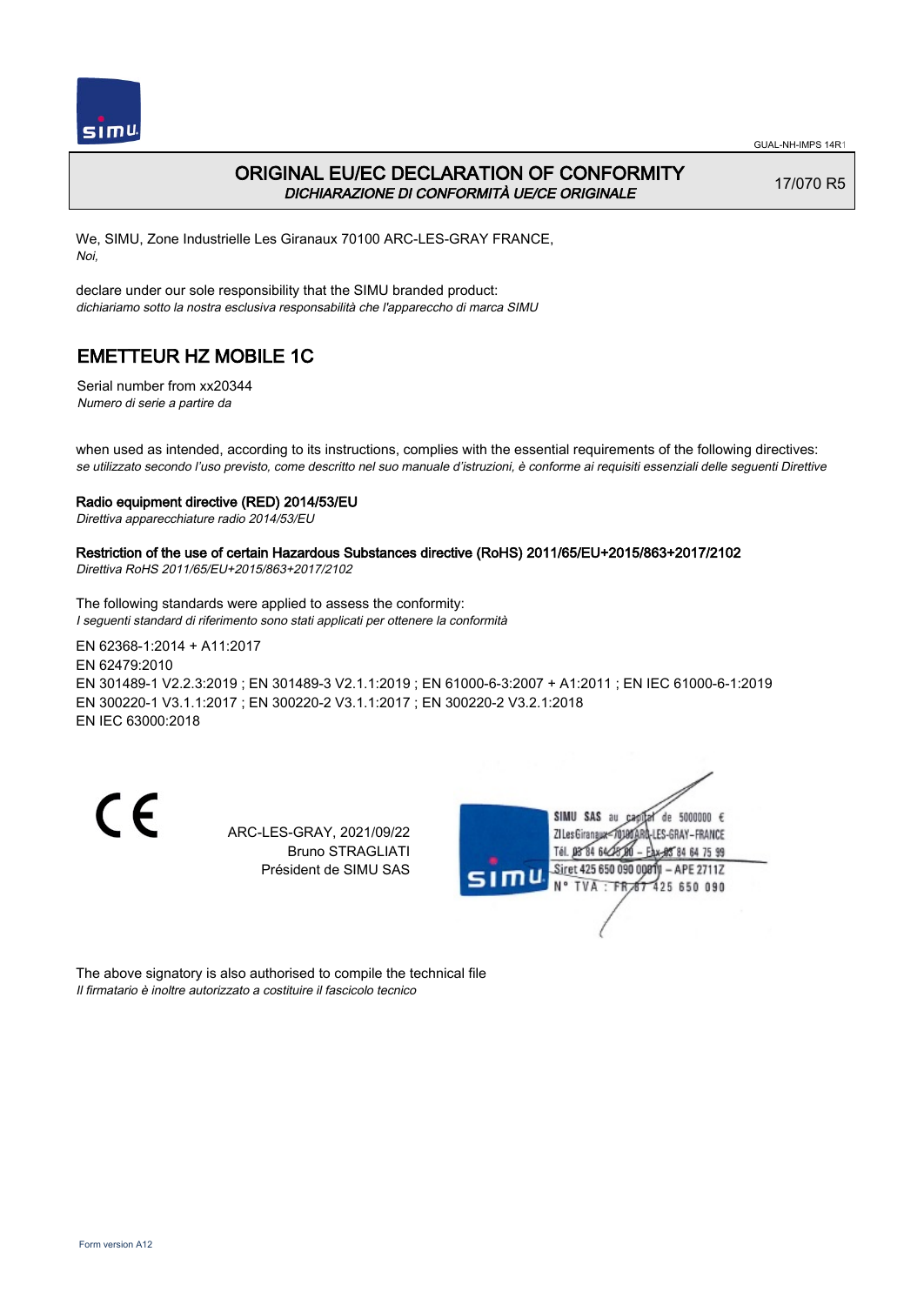

### ORIGINAL EU/EC DECLARATION OF CONFORMITY DICHIARAZIONE DI CONFORMITÀ UE/CE ORIGINALE

17/070 R5

We, SIMU, Zone Industrielle Les Giranaux 70100 ARC-LES-GRAY FRANCE, Noi,

declare under our sole responsibility that the SIMU branded product: dichiariamo sotto la nostra esclusiva responsabilità che l'appareccho di marca SIMU

## EMETTEUR HZ MOBILE 1C

Serial number from xx20344 Numero di serie a partire da

when used as intended, according to its instructions, complies with the essential requirements of the following directives: se utilizzato secondo l'uso previsto, come descritto nel suo manuale d'istruzioni, è conforme ai requisiti essenziali delle seguenti Direttive

#### Radio equipment directive (RED) 2014/53/EU

Direttiva apparecchiature radio 2014/53/EU

### Restriction of the use of certain Hazardous Substances directive (RoHS) 2011/65/EU+2015/863+2017/2102

Direttiva RoHS 2011/65/EU+2015/863+2017/2102

The following standards were applied to assess the conformity: I seguenti standard di riferimento sono stati applicati per ottenere la conformità

EN 62368‑1:2014 + A11:2017 EN 62479:2010 EN 301489‑1 V2.2.3:2019 ; EN 301489‑3 V2.1.1:2019 ; EN 61000‑6‑3:2007 + A1:2011 ; EN IEC 61000‑6‑1:2019 EN 300220‑1 V3.1.1:2017 ; EN 300220‑2 V3.1.1:2017 ; EN 300220‑2 V3.2.1:2018 EN IEC 63000:2018

CE

ARC-LES-GRAY, 2021/09/22 Bruno STRAGLIATI Président de SIMU SAS



The above signatory is also authorised to compile the technical file Il firmatario è inoltre autorizzato a costituire il fascicolo tecnico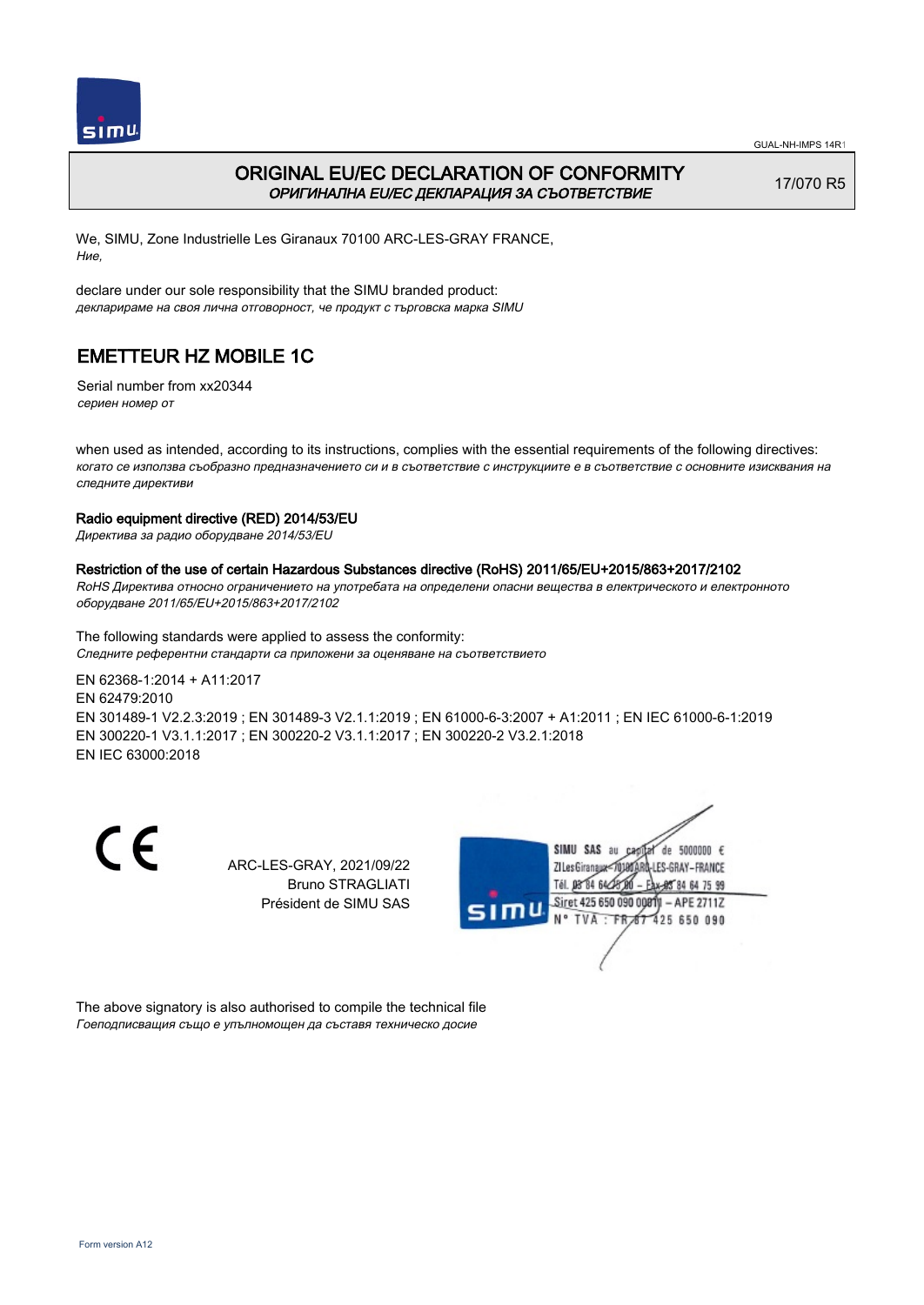

 $simu$ 

GUAL-NH-IMPS 14R1

### ORIGINAL EU/EC DECLARATION OF CONFORMITY ОРИГИНАЛНА EU/EC ДЕКЛАРАЦИЯ ЗА СЪОТВЕТСТВИЕ

17/070 R5

We, SIMU, Zone Industrielle Les Giranaux 70100 ARC-LES-GRAY FRANCE, Ние,

declare under our sole responsibility that the SIMU branded product: декларираме на своя лична отговорност, че продукт с търговска марка SIMU

## EMETTEUR HZ MOBILE 1C

Serial number from xx20344 сериен номер от

when used as intended, according to its instructions, complies with the essential requirements of the following directives: когато се използва съобразно предназначението си и в съответствие с инструкциите е в съответствие с основните изисквания на следните директиви

### Radio equipment directive (RED) 2014/53/EU

Директива за радио оборудване 2014/53/EU

### Restriction of the use of certain Hazardous Substances directive (RoHS) 2011/65/EU+2015/863+2017/2102

RoHS Директива относно ограничението на употребата на определени опасни вещества в електрическото и електронното оборудване 2011/65/EU+2015/863+2017/2102

The following standards were applied to assess the conformity: Следните референтни стандарти са приложени за оценяване на съответствието

EN 62368‑1:2014 + A11:2017 EN 62479:2010 EN 301489‑1 V2.2.3:2019 ; EN 301489‑3 V2.1.1:2019 ; EN 61000‑6‑3:2007 + A1:2011 ; EN IEC 61000‑6‑1:2019 EN 300220‑1 V3.1.1:2017 ; EN 300220‑2 V3.1.1:2017 ; EN 300220‑2 V3.2.1:2018 EN IEC 63000:2018

CE

ARC-LES-GRAY, 2021/09/22 Bruno STRAGLIATI Président de SIMU SAS



The above signatory is also authorised to compile the technical file Гоеподписващия също е упълномощен да съставя техническо досие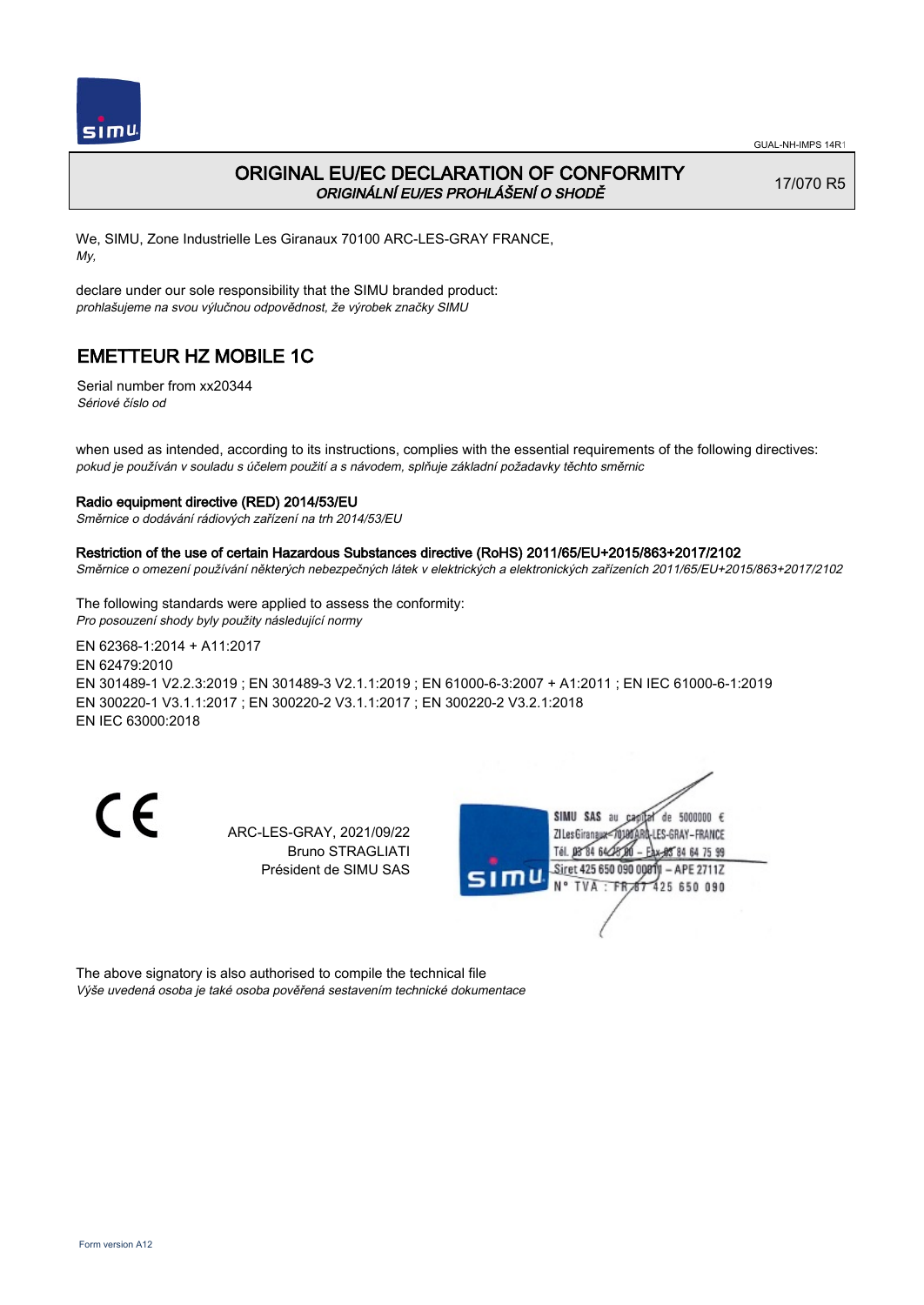

### ORIGINAL EU/EC DECLARATION OF CONFORMITY ORIGINÁLNÍ EU/ES PROHLÁŠENÍ O SHODĚ

17/070 R5

We, SIMU, Zone Industrielle Les Giranaux 70100 ARC-LES-GRAY FRANCE, My,

declare under our sole responsibility that the SIMU branded product: prohlašujeme na svou výlučnou odpovědnost, že výrobek značky SIMU

## EMETTEUR HZ MOBILE 1C

Serial number from xx20344 Sériové číslo od

when used as intended, according to its instructions, complies with the essential requirements of the following directives: pokud je používán v souladu s účelem použití a s návodem, splňuje základní požadavky těchto směrnic

#### Radio equipment directive (RED) 2014/53/EU

Směrnice o dodávání rádiových zařízení na trh 2014/53/EU

#### Restriction of the use of certain Hazardous Substances directive (RoHS) 2011/65/EU+2015/863+2017/2102

Směrnice o omezení používání některých nebezpečných látek v elektrických a elektronických zařízeních 2011/65/EU+2015/863+2017/2102

The following standards were applied to assess the conformity: Pro posouzení shody byly použity následující normy

EN 62368‑1:2014 + A11:2017 EN 62479:2010 EN 301489‑1 V2.2.3:2019 ; EN 301489‑3 V2.1.1:2019 ; EN 61000‑6‑3:2007 + A1:2011 ; EN IEC 61000‑6‑1:2019 EN 300220‑1 V3.1.1:2017 ; EN 300220‑2 V3.1.1:2017 ; EN 300220‑2 V3.2.1:2018 EN IEC 63000:2018

CE

ARC-LES-GRAY, 2021/09/22 Bruno STRAGLIATI Président de SIMU SAS



The above signatory is also authorised to compile the technical file Výše uvedená osoba je také osoba pověřená sestavením technické dokumentace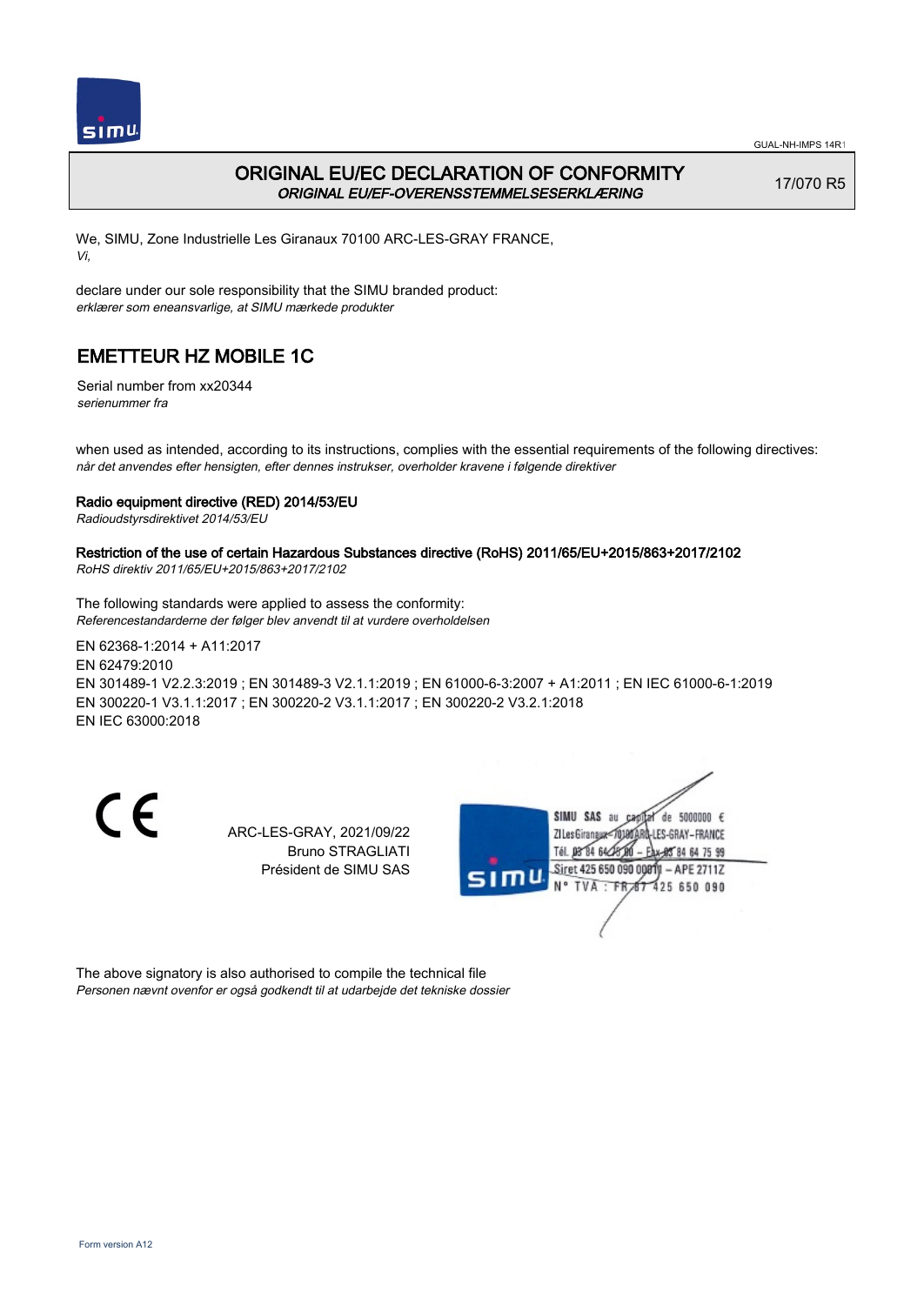

### ORIGINAL EU/EC DECLARATION OF CONFORMITY ORIGINAL EU/EF-OVERENSSTEMMELSESERKLÆRING

17/070 R5

We, SIMU, Zone Industrielle Les Giranaux 70100 ARC-LES-GRAY FRANCE, Vi,

declare under our sole responsibility that the SIMU branded product: erklærer som eneansvarlige, at SIMU mærkede produkter

# EMETTEUR HZ MOBILE 1C

Serial number from xx20344 serienummer fra

when used as intended, according to its instructions, complies with the essential requirements of the following directives: når det anvendes efter hensigten, efter dennes instrukser, overholder kravene i følgende direktiver

### Radio equipment directive (RED) 2014/53/EU

Radioudstyrsdirektivet 2014/53/EU

### Restriction of the use of certain Hazardous Substances directive (RoHS) 2011/65/EU+2015/863+2017/2102

RoHS direktiv 2011/65/EU+2015/863+2017/2102

The following standards were applied to assess the conformity: Referencestandarderne der følger blev anvendt til at vurdere overholdelsen

EN 62368‑1:2014 + A11:2017 EN 62479:2010 EN 301489‑1 V2.2.3:2019 ; EN 301489‑3 V2.1.1:2019 ; EN 61000‑6‑3:2007 + A1:2011 ; EN IEC 61000‑6‑1:2019 EN 300220‑1 V3.1.1:2017 ; EN 300220‑2 V3.1.1:2017 ; EN 300220‑2 V3.2.1:2018 EN IEC 63000:2018

CE

ARC-LES-GRAY, 2021/09/22 Bruno STRAGLIATI Président de SIMU SAS



The above signatory is also authorised to compile the technical file Personen nævnt ovenfor er også godkendt til at udarbejde det tekniske dossier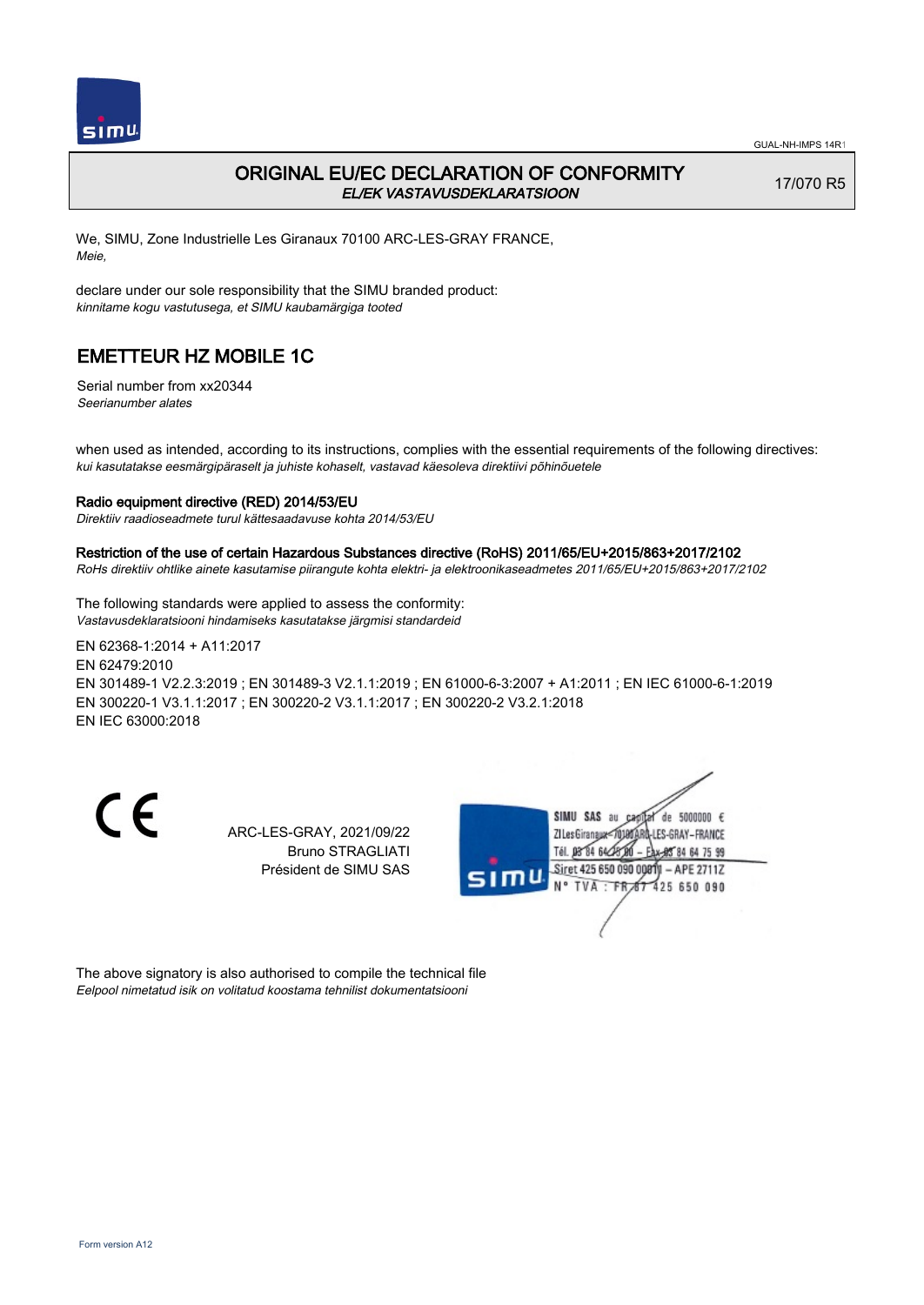

### ORIGINAL EU/EC DECLARATION OF CONFORMITY EL/EK VASTAVUSDEKLARATSIOON

17/070 R5

We, SIMU, Zone Industrielle Les Giranaux 70100 ARC-LES-GRAY FRANCE, Meie,

declare under our sole responsibility that the SIMU branded product: kinnitame kogu vastutusega, et SIMU kaubamärgiga tooted

## EMETTEUR HZ MOBILE 1C

Serial number from xx20344 Seerianumber alates

when used as intended, according to its instructions, complies with the essential requirements of the following directives: kui kasutatakse eesmärgipäraselt ja juhiste kohaselt, vastavad käesoleva direktiivi põhinõuetele

#### Radio equipment directive (RED) 2014/53/EU

Direktiiv raadioseadmete turul kättesaadavuse kohta 2014/53/EU

#### Restriction of the use of certain Hazardous Substances directive (RoHS) 2011/65/EU+2015/863+2017/2102

RoHs direktiiv ohtlike ainete kasutamise piirangute kohta elektri- ja elektroonikaseadmetes 2011/65/EU+2015/863+2017/2102

The following standards were applied to assess the conformity: Vastavusdeklaratsiooni hindamiseks kasutatakse järgmisi standardeid

EN 62368‑1:2014 + A11:2017 EN 62479:2010 EN 301489‑1 V2.2.3:2019 ; EN 301489‑3 V2.1.1:2019 ; EN 61000‑6‑3:2007 + A1:2011 ; EN IEC 61000‑6‑1:2019 EN 300220‑1 V3.1.1:2017 ; EN 300220‑2 V3.1.1:2017 ; EN 300220‑2 V3.2.1:2018 EN IEC 63000:2018

CE

ARC-LES-GRAY, 2021/09/22 Bruno STRAGLIATI Président de SIMU SAS



The above signatory is also authorised to compile the technical file Eelpool nimetatud isik on volitatud koostama tehnilist dokumentatsiooni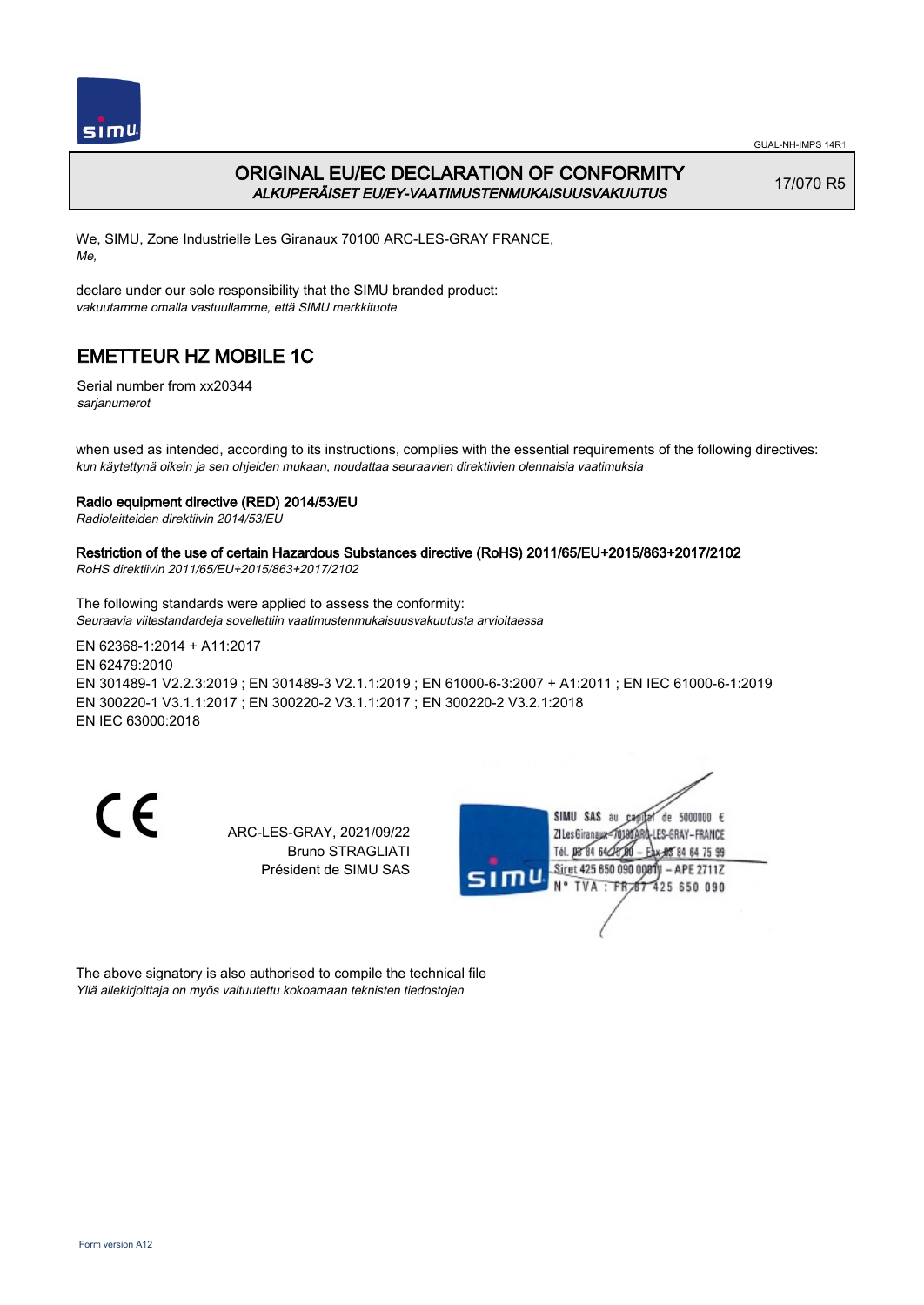

## ORIGINAL EU/EC DECLARATION OF CONFORMITY ALKUPERÄISET EU/EY-VAATIMUSTENMUKAISUUSVAKUUTUS

17/070 R5

We, SIMU, Zone Industrielle Les Giranaux 70100 ARC-LES-GRAY FRANCE, Me,

declare under our sole responsibility that the SIMU branded product: vakuutamme omalla vastuullamme, että SIMU merkkituote

# EMETTEUR HZ MOBILE 1C

Serial number from xx20344 sarjanumerot

when used as intended, according to its instructions, complies with the essential requirements of the following directives: kun käytettynä oikein ja sen ohjeiden mukaan, noudattaa seuraavien direktiivien olennaisia vaatimuksia

### Radio equipment directive (RED) 2014/53/EU

Radiolaitteiden direktiivin 2014/53/EU

## Restriction of the use of certain Hazardous Substances directive (RoHS) 2011/65/EU+2015/863+2017/2102

RoHS direktiivin 2011/65/EU+2015/863+2017/2102

The following standards were applied to assess the conformity: Seuraavia viitestandardeja sovellettiin vaatimustenmukaisuusvakuutusta arvioitaessa

EN 62368‑1:2014 + A11:2017 EN 62479:2010 EN 301489‑1 V2.2.3:2019 ; EN 301489‑3 V2.1.1:2019 ; EN 61000‑6‑3:2007 + A1:2011 ; EN IEC 61000‑6‑1:2019 EN 300220‑1 V3.1.1:2017 ; EN 300220‑2 V3.1.1:2017 ; EN 300220‑2 V3.2.1:2018 EN IEC 63000:2018

CE

ARC-LES-GRAY, 2021/09/22 Bruno STRAGLIATI Président de SIMU SAS



The above signatory is also authorised to compile the technical file Yllä allekirjoittaja on myös valtuutettu kokoamaan teknisten tiedostojen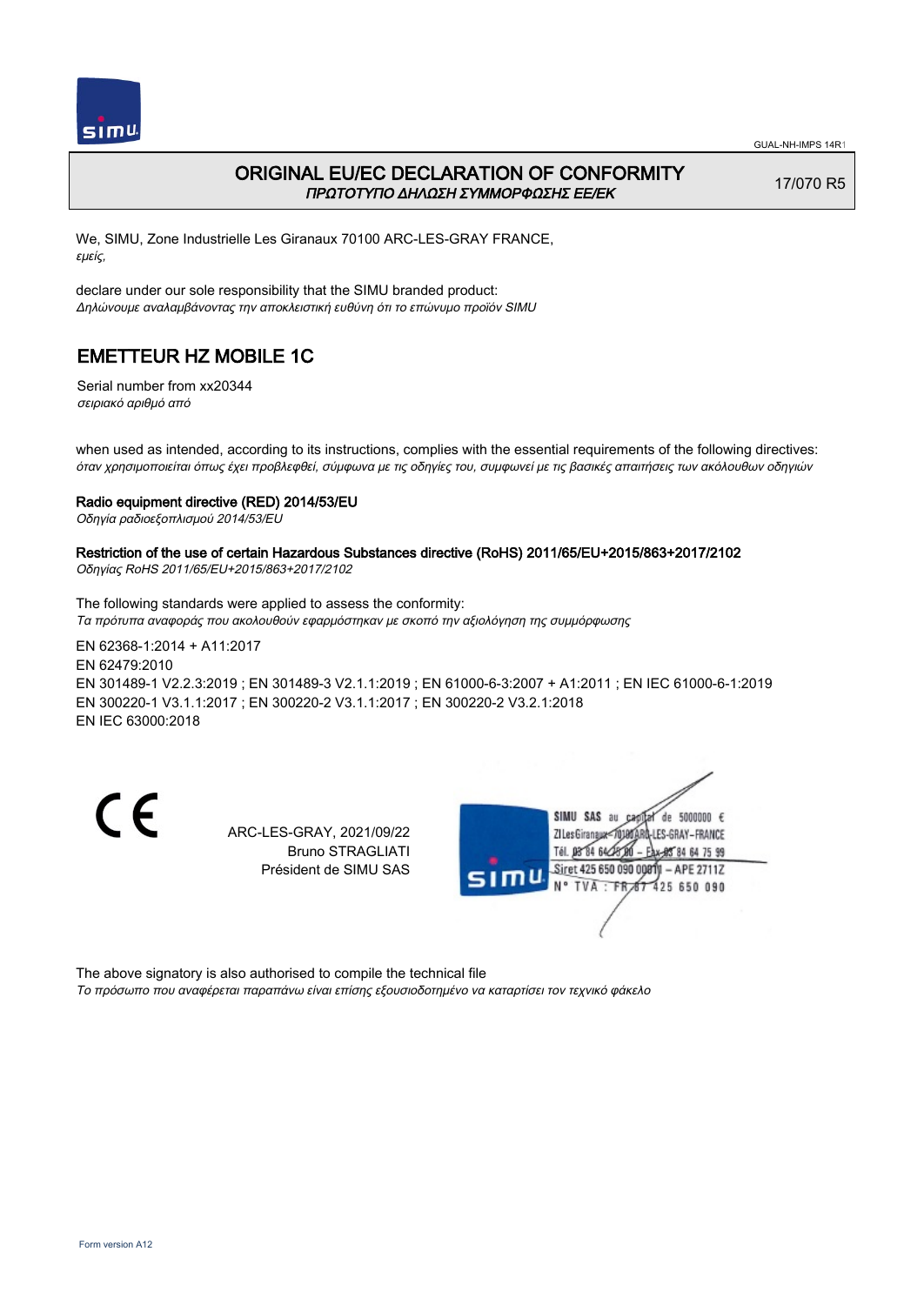

### ORIGINAL EU/EC DECLARATION OF CONFORMITY ΠΡΩΤΟΤΥΠΟ ΔΗΛΩΣΗ ΣΥΜΜΟΡΦΩΣΗΣ ΕΕ/EK

17/070 R5

We, SIMU, Zone Industrielle Les Giranaux 70100 ARC-LES-GRAY FRANCE, εμείς,

declare under our sole responsibility that the SIMU branded product: Δηλώνουμε αναλαμβάνοντας την αποκλειστική ευθύνη ότι το επώνυμο προϊόν SIMU

## EMETTEUR HZ MOBILE 1C

Serial number from xx20344 σειριακό αριθμό από

when used as intended, according to its instructions, complies with the essential requirements of the following directives: όταν χρησιμοποιείται όπως έχει προβλεφθεί, σύμφωνα με τις οδηγίες του, συμφωνεί με τις βασικές απαιτήσεις των ακόλουθων οδηγιών

#### Radio equipment directive (RED) 2014/53/EU

Οδηγία ραδιοεξοπλισμού 2014/53/EU

# Restriction of the use of certain Hazardous Substances directive (RoHS) 2011/65/EU+2015/863+2017/2102

Οδηγίας RoHS 2011/65/EU+2015/863+2017/2102

The following standards were applied to assess the conformity: Τα πρότυπα αναφοράς που ακολουθούν εφαρμόστηκαν με σκοπό την αξιολόγηση της συμμόρφωσης

EN 62368‑1:2014 + A11:2017 EN 62479:2010 EN 301489‑1 V2.2.3:2019 ; EN 301489‑3 V2.1.1:2019 ; EN 61000‑6‑3:2007 + A1:2011 ; EN IEC 61000‑6‑1:2019 EN 300220‑1 V3.1.1:2017 ; EN 300220‑2 V3.1.1:2017 ; EN 300220‑2 V3.2.1:2018 EN IEC 63000:2018

CE

ARC-LES-GRAY, 2021/09/22 Bruno STRAGLIATI Président de SIMU SAS



The above signatory is also authorised to compile the technical file Το πρόσωπο που αναφέρεται παραπάνω είναι επίσης εξουσιοδοτημένο να καταρτίσει τον τεχνικό φάκελο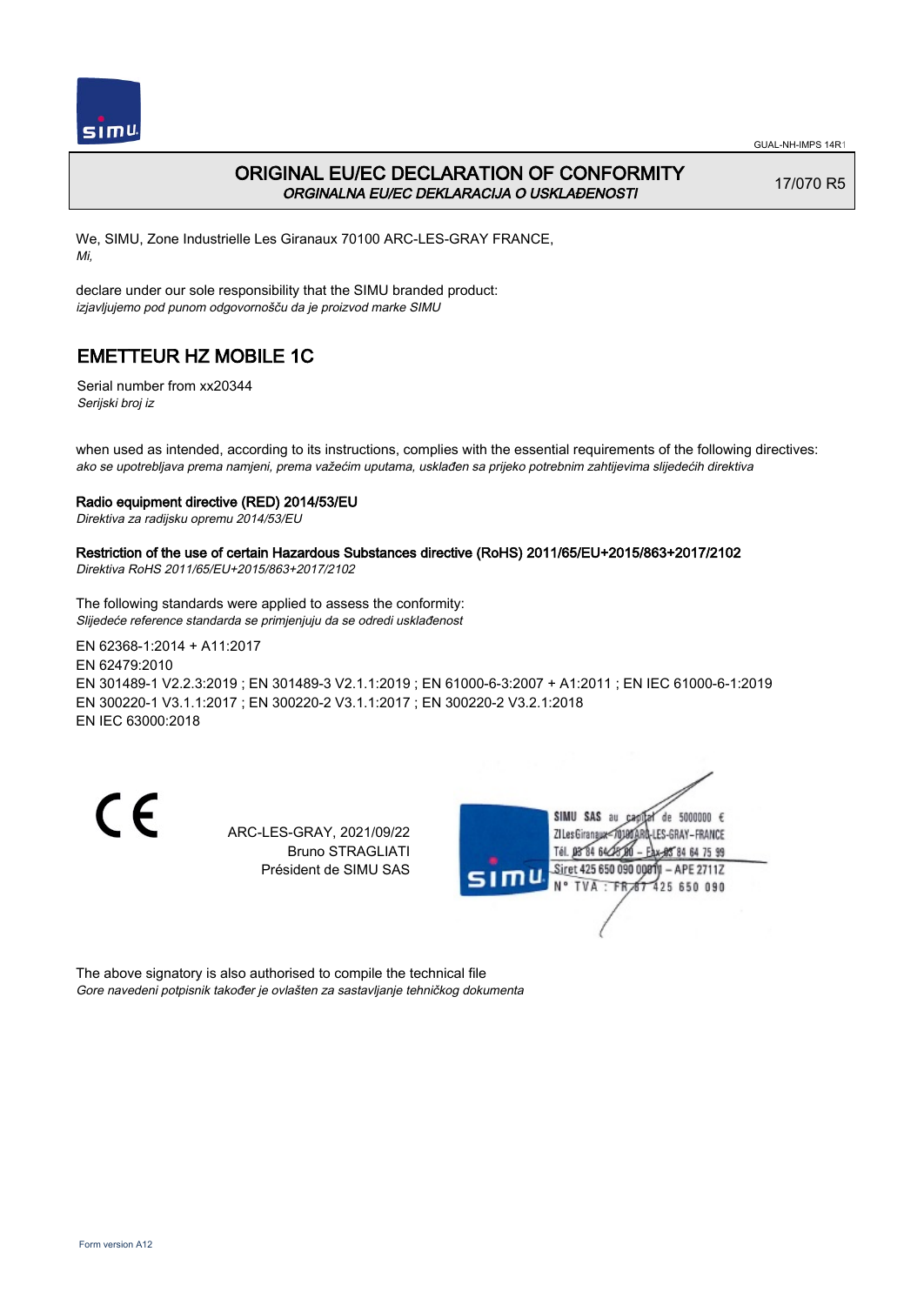

## ORIGINAL EU/EC DECLARATION OF CONFORMITY ORGINALNA EU/EC DEKLARACIJA O USKLAĐENOSTI

17/070 R5

We, SIMU, Zone Industrielle Les Giranaux 70100 ARC-LES-GRAY FRANCE, Mi,

declare under our sole responsibility that the SIMU branded product: izjavljujemo pod punom odgovornošču da je proizvod marke SIMU

# EMETTEUR HZ MOBILE 1C

Serial number from xx20344 Serijski broj iz

when used as intended, according to its instructions, complies with the essential requirements of the following directives: ako se upotrebljava prema namjeni, prema važećim uputama, usklađen sa prijeko potrebnim zahtijevima slijedećih direktiva

### Radio equipment directive (RED) 2014/53/EU

Direktiva za radijsku opremu 2014/53/EU

## Restriction of the use of certain Hazardous Substances directive (RoHS) 2011/65/EU+2015/863+2017/2102

Direktiva RoHS 2011/65/EU+2015/863+2017/2102

The following standards were applied to assess the conformity: Slijedeće reference standarda se primjenjuju da se odredi usklađenost

EN 62368‑1:2014 + A11:2017 EN 62479:2010 EN 301489‑1 V2.2.3:2019 ; EN 301489‑3 V2.1.1:2019 ; EN 61000‑6‑3:2007 + A1:2011 ; EN IEC 61000‑6‑1:2019 EN 300220‑1 V3.1.1:2017 ; EN 300220‑2 V3.1.1:2017 ; EN 300220‑2 V3.2.1:2018 EN IEC 63000:2018

CE

ARC-LES-GRAY, 2021/09/22 Bruno STRAGLIATI Président de SIMU SAS



The above signatory is also authorised to compile the technical file Gore navedeni potpisnik također je ovlašten za sastavljanje tehničkog dokumenta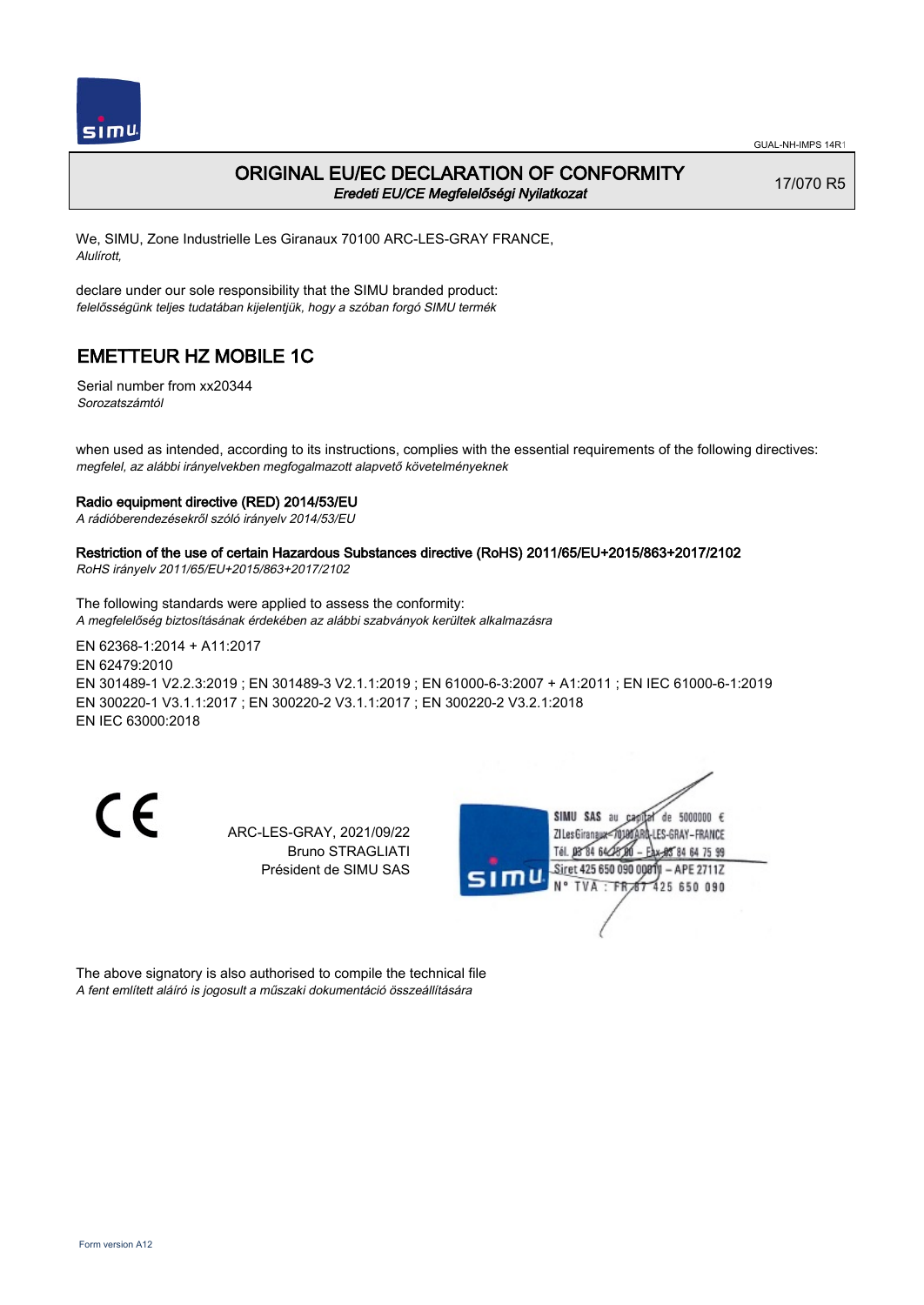

### ORIGINAL EU/EC DECLARATION OF CONFORMITY Eredeti EU/CE Megfelelőségi Nyilatkozat

17/070 R5

We, SIMU, Zone Industrielle Les Giranaux 70100 ARC-LES-GRAY FRANCE, Alulírott,

declare under our sole responsibility that the SIMU branded product: felelősségünk teljes tudatában kijelentjük, hogy a szóban forgó SIMU termék

## EMETTEUR HZ MOBILE 1C

Serial number from xx20344 Sorozatszámtól

when used as intended, according to its instructions, complies with the essential requirements of the following directives: megfelel, az alábbi irányelvekben megfogalmazott alapvető követelményeknek

#### Radio equipment directive (RED) 2014/53/EU

A rádióberendezésekről szóló irányelv 2014/53/EU

### Restriction of the use of certain Hazardous Substances directive (RoHS) 2011/65/EU+2015/863+2017/2102

RoHS irányelv 2011/65/EU+2015/863+2017/2102

The following standards were applied to assess the conformity: A megfelelőség biztosításának érdekében az alábbi szabványok kerültek alkalmazásra

EN 62368‑1:2014 + A11:2017 EN 62479:2010 EN 301489‑1 V2.2.3:2019 ; EN 301489‑3 V2.1.1:2019 ; EN 61000‑6‑3:2007 + A1:2011 ; EN IEC 61000‑6‑1:2019 EN 300220‑1 V3.1.1:2017 ; EN 300220‑2 V3.1.1:2017 ; EN 300220‑2 V3.2.1:2018 EN IEC 63000:2018

CE

ARC-LES-GRAY, 2021/09/22 Bruno STRAGLIATI Président de SIMU SAS



The above signatory is also authorised to compile the technical file A fent említett aláíró is jogosult a műszaki dokumentáció összeállítására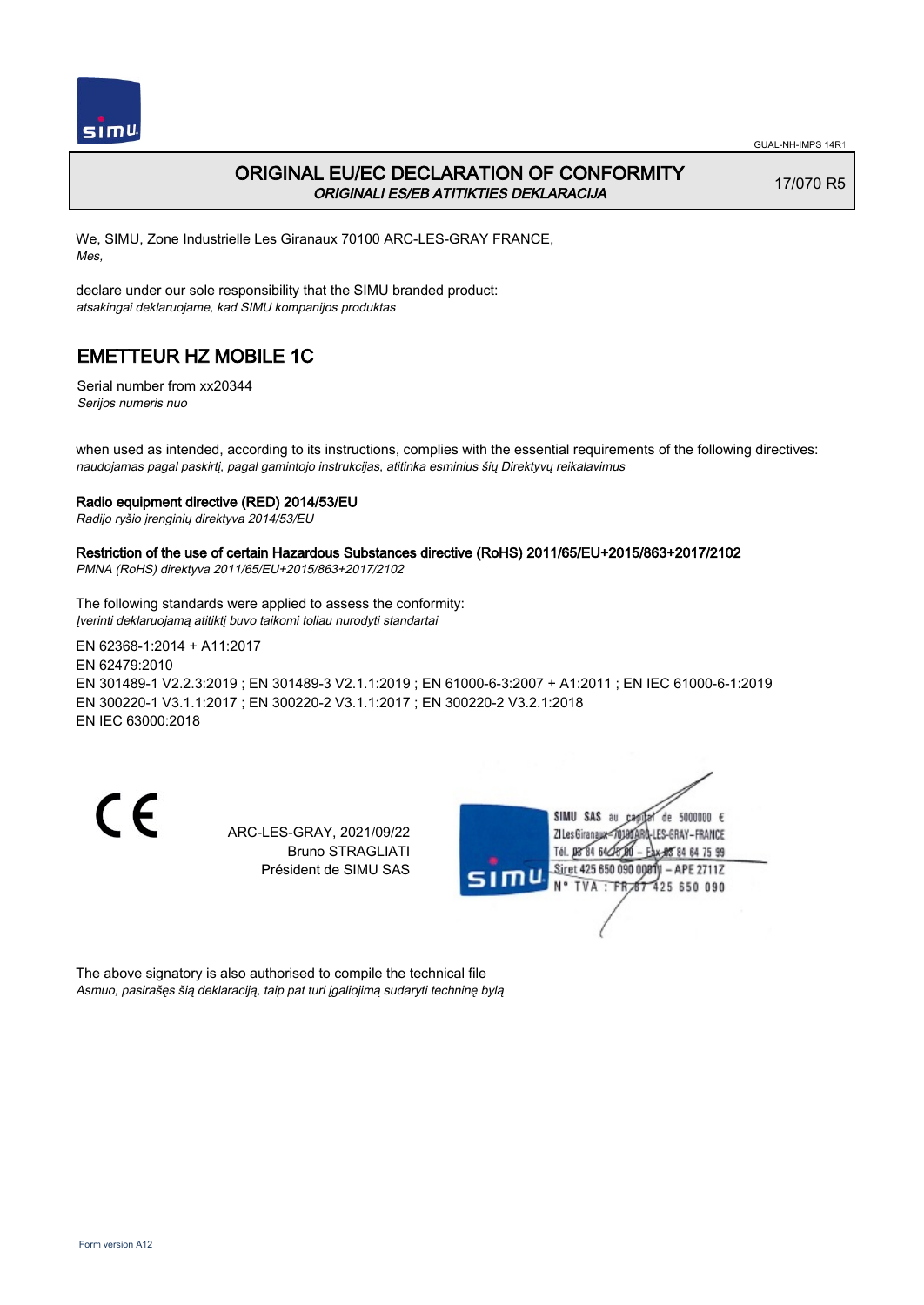

## ORIGINAL EU/EC DECLARATION OF CONFORMITY ORIGINALI ES/EB ATITIKTIES DEKLARACIJA

17/070 R5

We, SIMU, Zone Industrielle Les Giranaux 70100 ARC-LES-GRAY FRANCE, Mes,

declare under our sole responsibility that the SIMU branded product: atsakingai deklaruojame, kad SIMU kompanijos produktas

# EMETTEUR HZ MOBILE 1C

Serial number from xx20344 Serijos numeris nuo

when used as intended, according to its instructions, complies with the essential requirements of the following directives: naudojamas pagal paskirtį, pagal gamintojo instrukcijas, atitinka esminius šių Direktyvų reikalavimus

### Radio equipment directive (RED) 2014/53/EU

Radijo ryšio įrenginių direktyva 2014/53/EU

## Restriction of the use of certain Hazardous Substances directive (RoHS) 2011/65/EU+2015/863+2017/2102

PMNA (RoHS) direktyva 2011/65/EU+2015/863+2017/2102

The following standards were applied to assess the conformity: Įverinti deklaruojamą atitiktį buvo taikomi toliau nurodyti standartai

EN 62368‑1:2014 + A11:2017 EN 62479:2010 EN 301489‑1 V2.2.3:2019 ; EN 301489‑3 V2.1.1:2019 ; EN 61000‑6‑3:2007 + A1:2011 ; EN IEC 61000‑6‑1:2019 EN 300220‑1 V3.1.1:2017 ; EN 300220‑2 V3.1.1:2017 ; EN 300220‑2 V3.2.1:2018 EN IEC 63000:2018

CE

ARC-LES-GRAY, 2021/09/22 Bruno STRAGLIATI Président de SIMU SAS



The above signatory is also authorised to compile the technical file Asmuo, pasirašęs šią deklaraciją, taip pat turi įgaliojimą sudaryti techninę bylą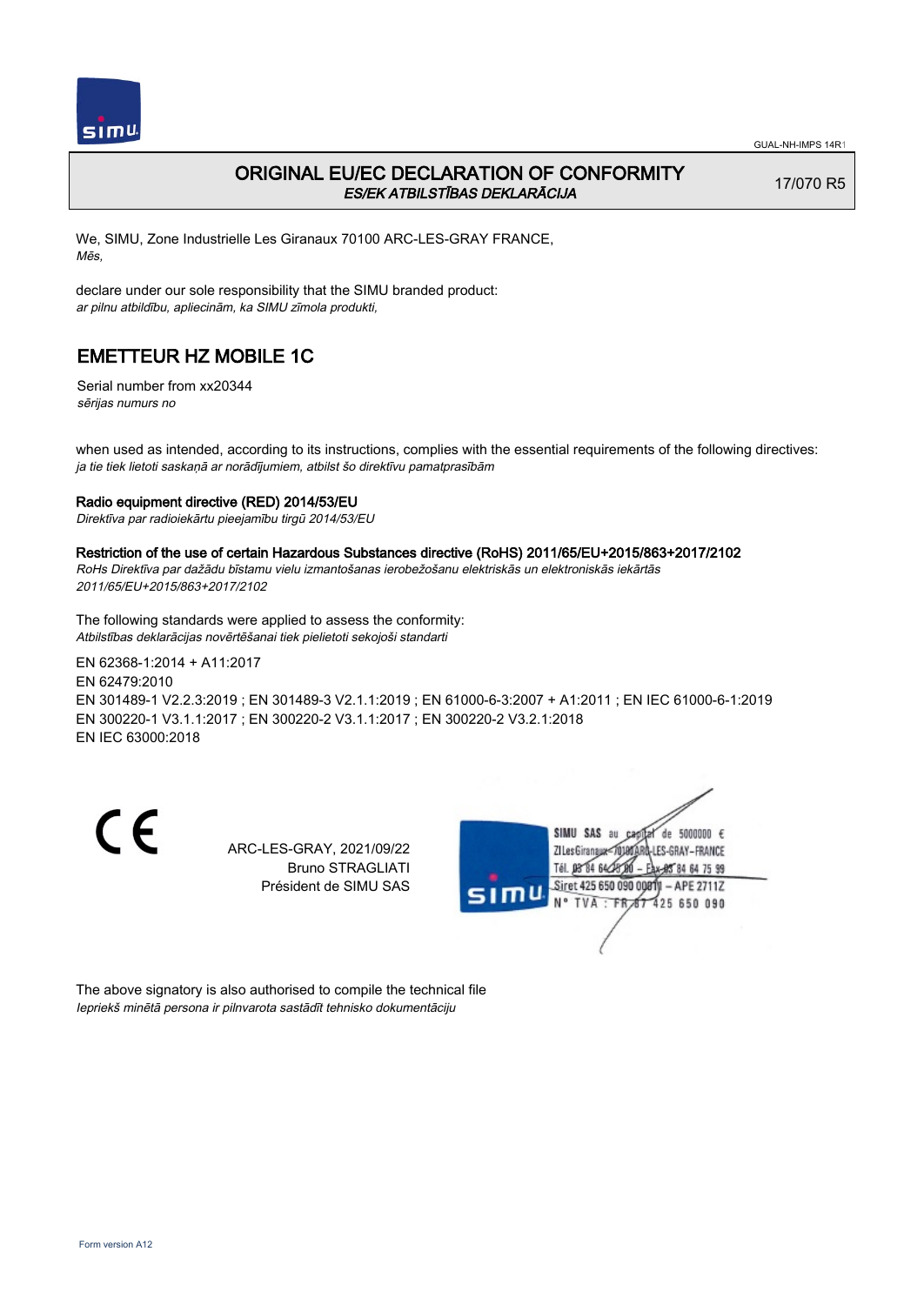

## ORIGINAL EU/EC DECLARATION OF CONFORMITY ES/EK ATBILSTĪBAS DEKLARĀCIJA

17/070 R5

We, SIMU, Zone Industrielle Les Giranaux 70100 ARC-LES-GRAY FRANCE, Mēs,

declare under our sole responsibility that the SIMU branded product: ar pilnu atbildību, apliecinām, ka SIMU zīmola produkti,

# EMETTEUR HZ MOBILE 1C

Serial number from xx20344 sērijas numurs no

when used as intended, according to its instructions, complies with the essential requirements of the following directives: ja tie tiek lietoti saskaņā ar norādījumiem, atbilst šo direktīvu pamatprasībām

### Radio equipment directive (RED) 2014/53/EU

Direktīva par radioiekārtu pieejamību tirgū 2014/53/EU

#### Restriction of the use of certain Hazardous Substances directive (RoHS) 2011/65/EU+2015/863+2017/2102

RoHs Direktīva par dažādu bīstamu vielu izmantošanas ierobežošanu elektriskās un elektroniskās iekārtās 2011/65/EU+2015/863+2017/2102

The following standards were applied to assess the conformity: Atbilstības deklarācijas novērtēšanai tiek pielietoti sekojoši standarti

EN 62368‑1:2014 + A11:2017 EN 62479:2010 EN 301489‑1 V2.2.3:2019 ; EN 301489‑3 V2.1.1:2019 ; EN 61000‑6‑3:2007 + A1:2011 ; EN IEC 61000‑6‑1:2019 EN 300220‑1 V3.1.1:2017 ; EN 300220‑2 V3.1.1:2017 ; EN 300220‑2 V3.2.1:2018 EN IEC 63000:2018

CE

ARC-LES-GRAY, 2021/09/22 Bruno STRAGLIATI Président de SIMU SAS



The above signatory is also authorised to compile the technical file Iepriekš minētā persona ir pilnvarota sastādīt tehnisko dokumentāciju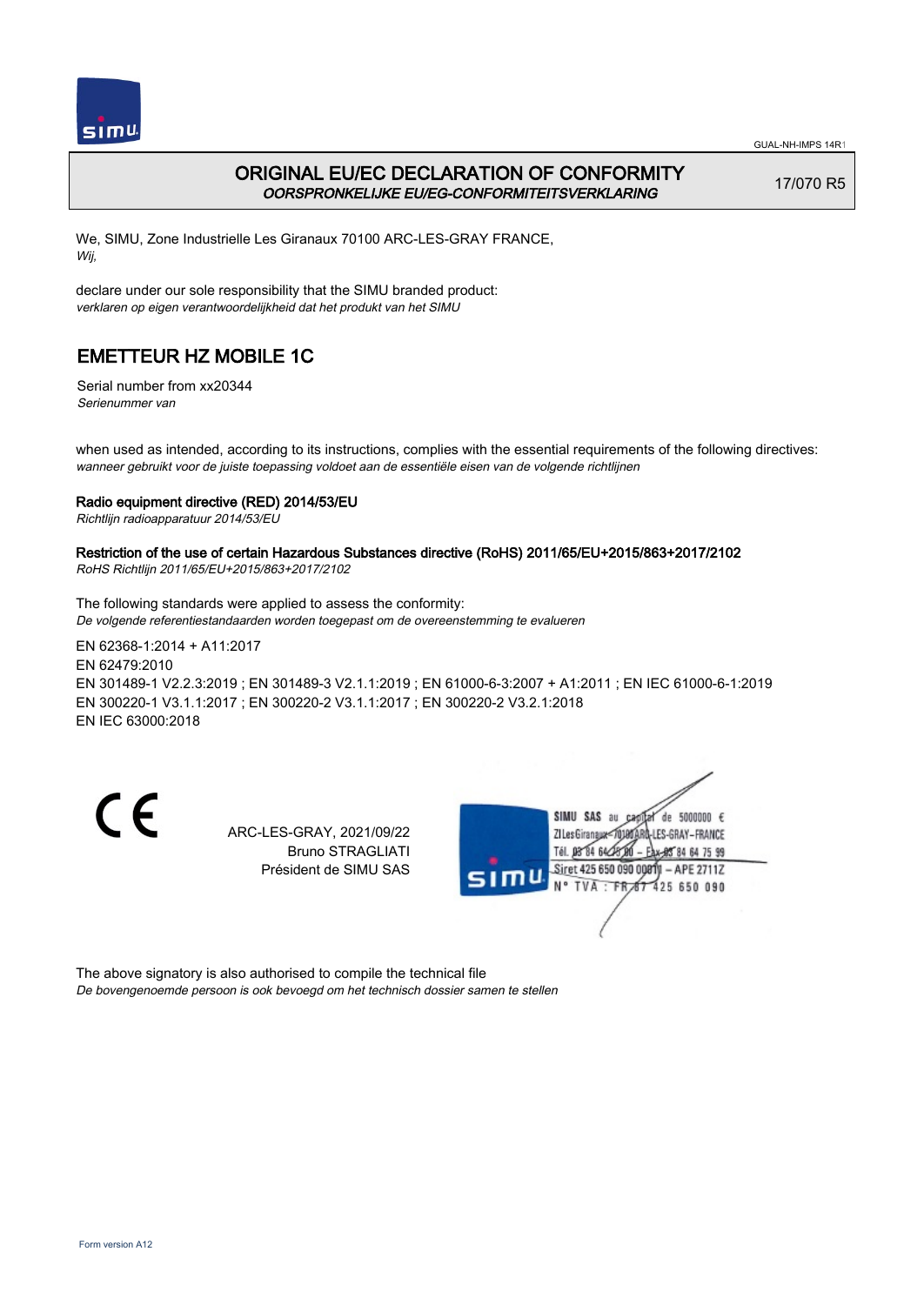

## ORIGINAL EU/EC DECLARATION OF CONFORMITY OORSPRONKELIJKE EU/EG-CONFORMITEITSVERKLARING

17/070 R5

We, SIMU, Zone Industrielle Les Giranaux 70100 ARC-LES-GRAY FRANCE, Wij,

declare under our sole responsibility that the SIMU branded product: verklaren op eigen verantwoordelijkheid dat het produkt van het SIMU

# EMETTEUR HZ MOBILE 1C

Serial number from xx20344 Serienummer van

when used as intended, according to its instructions, complies with the essential requirements of the following directives: wanneer gebruikt voor de juiste toepassing voldoet aan de essentiële eisen van de volgende richtlijnen

### Radio equipment directive (RED) 2014/53/EU

Richtlijn radioapparatuur 2014/53/EU

## Restriction of the use of certain Hazardous Substances directive (RoHS) 2011/65/EU+2015/863+2017/2102

RoHS Richtlijn 2011/65/EU+2015/863+2017/2102

The following standards were applied to assess the conformity: De volgende referentiestandaarden worden toegepast om de overeenstemming te evalueren

EN 62368‑1:2014 + A11:2017 EN 62479:2010 EN 301489‑1 V2.2.3:2019 ; EN 301489‑3 V2.1.1:2019 ; EN 61000‑6‑3:2007 + A1:2011 ; EN IEC 61000‑6‑1:2019 EN 300220‑1 V3.1.1:2017 ; EN 300220‑2 V3.1.1:2017 ; EN 300220‑2 V3.2.1:2018 EN IEC 63000:2018

CE

ARC-LES-GRAY, 2021/09/22 Bruno STRAGLIATI Président de SIMU SAS



The above signatory is also authorised to compile the technical file De bovengenoemde persoon is ook bevoegd om het technisch dossier samen te stellen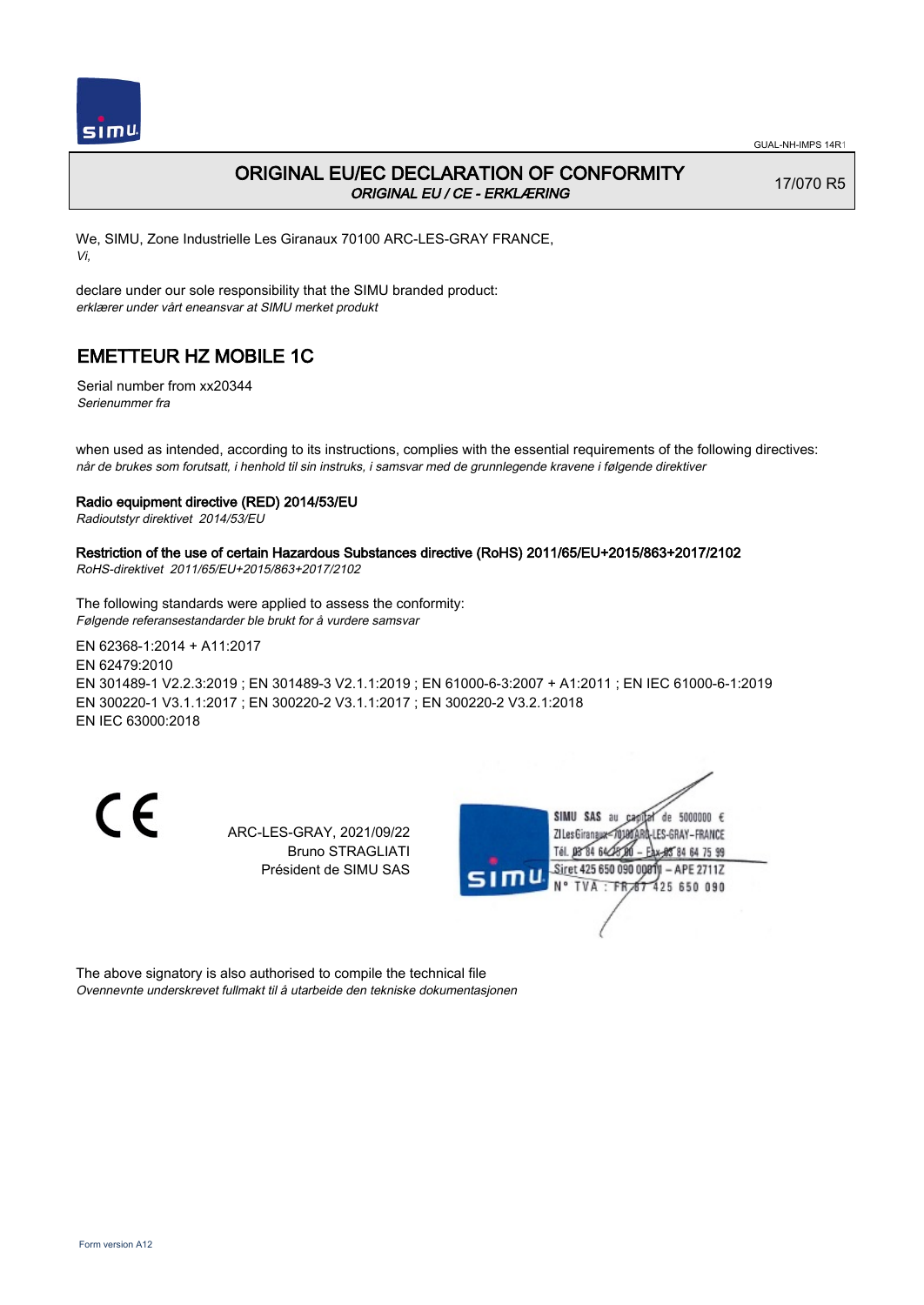

## ORIGINAL EU/EC DECLARATION OF CONFORMITY ORIGINAL EU / CE - ERKLÆRING

17/070 R5

We, SIMU, Zone Industrielle Les Giranaux 70100 ARC-LES-GRAY FRANCE, Vi,

declare under our sole responsibility that the SIMU branded product: erklærer under vårt eneansvar at SIMU merket produkt

# EMETTEUR HZ MOBILE 1C

Serial number from xx20344 Serienummer fra

when used as intended, according to its instructions, complies with the essential requirements of the following directives: når de brukes som forutsatt, i henhold til sin instruks, i samsvar med de grunnlegende kravene i følgende direktiver

### Radio equipment directive (RED) 2014/53/EU

Radioutstyr direktivet 2014/53/EU

## Restriction of the use of certain Hazardous Substances directive (RoHS) 2011/65/EU+2015/863+2017/2102

RoHS-direktivet 2011/65/EU+2015/863+2017/2102

The following standards were applied to assess the conformity: Følgende referansestandarder ble brukt for å vurdere samsvar

EN 62368‑1:2014 + A11:2017 EN 62479:2010 EN 301489‑1 V2.2.3:2019 ; EN 301489‑3 V2.1.1:2019 ; EN 61000‑6‑3:2007 + A1:2011 ; EN IEC 61000‑6‑1:2019 EN 300220‑1 V3.1.1:2017 ; EN 300220‑2 V3.1.1:2017 ; EN 300220‑2 V3.2.1:2018 EN IEC 63000:2018

CE

ARC-LES-GRAY, 2021/09/22 Bruno STRAGLIATI Président de SIMU SAS



The above signatory is also authorised to compile the technical file Ovennevnte underskrevet fullmakt til å utarbeide den tekniske dokumentasjonen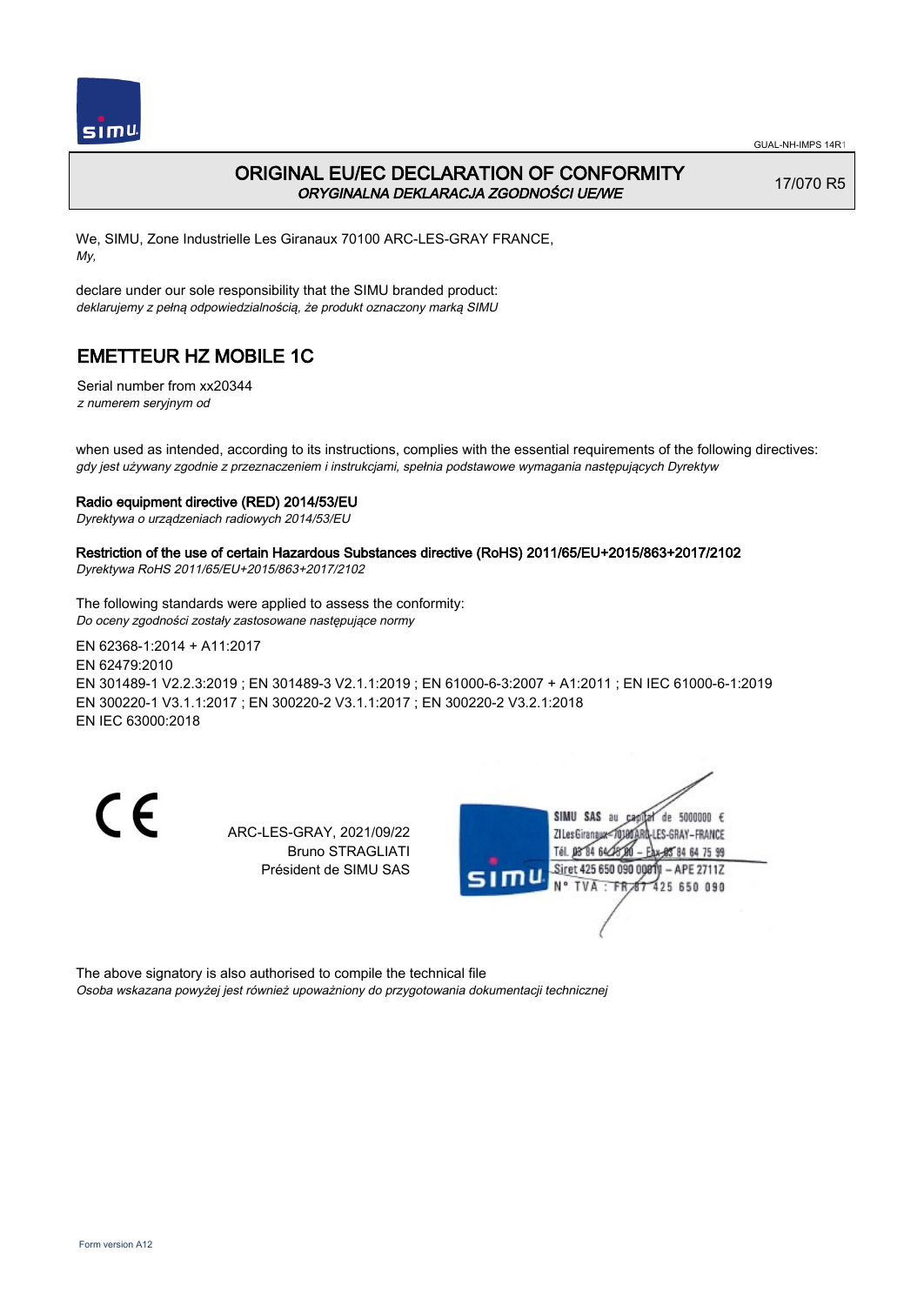

### ORIGINAL EU/EC DECLARATION OF CONFORMITY ORYGINALNA DEKLARACJA ZGODNOŚCI UE/WE

17/070 R5

We, SIMU, Zone Industrielle Les Giranaux 70100 ARC-LES-GRAY FRANCE, My,

declare under our sole responsibility that the SIMU branded product: deklarujemy z pełną odpowiedzialnością, że produkt oznaczony marką SIMU

## EMETTEUR HZ MOBILE 1C

Serial number from xx20344 z numerem seryjnym od

when used as intended, according to its instructions, complies with the essential requirements of the following directives: gdy jest używany zgodnie z przeznaczeniem i instrukcjami, spełnia podstawowe wymagania następujących Dyrektyw

#### Radio equipment directive (RED) 2014/53/EU

Dyrektywa o urządzeniach radiowych 2014/53/EU

### Restriction of the use of certain Hazardous Substances directive (RoHS) 2011/65/EU+2015/863+2017/2102

Dyrektywa RoHS 2011/65/EU+2015/863+2017/2102

The following standards were applied to assess the conformity: Do oceny zgodności zostały zastosowane następujące normy

EN 62368‑1:2014 + A11:2017 EN 62479:2010 EN 301489‑1 V2.2.3:2019 ; EN 301489‑3 V2.1.1:2019 ; EN 61000‑6‑3:2007 + A1:2011 ; EN IEC 61000‑6‑1:2019 EN 300220‑1 V3.1.1:2017 ; EN 300220‑2 V3.1.1:2017 ; EN 300220‑2 V3.2.1:2018 EN IEC 63000:2018

CE

ARC-LES-GRAY, 2021/09/22 Bruno STRAGLIATI Président de SIMU SAS



The above signatory is also authorised to compile the technical file Osoba wskazana powyżej jest również upoważniony do przygotowania dokumentacji technicznej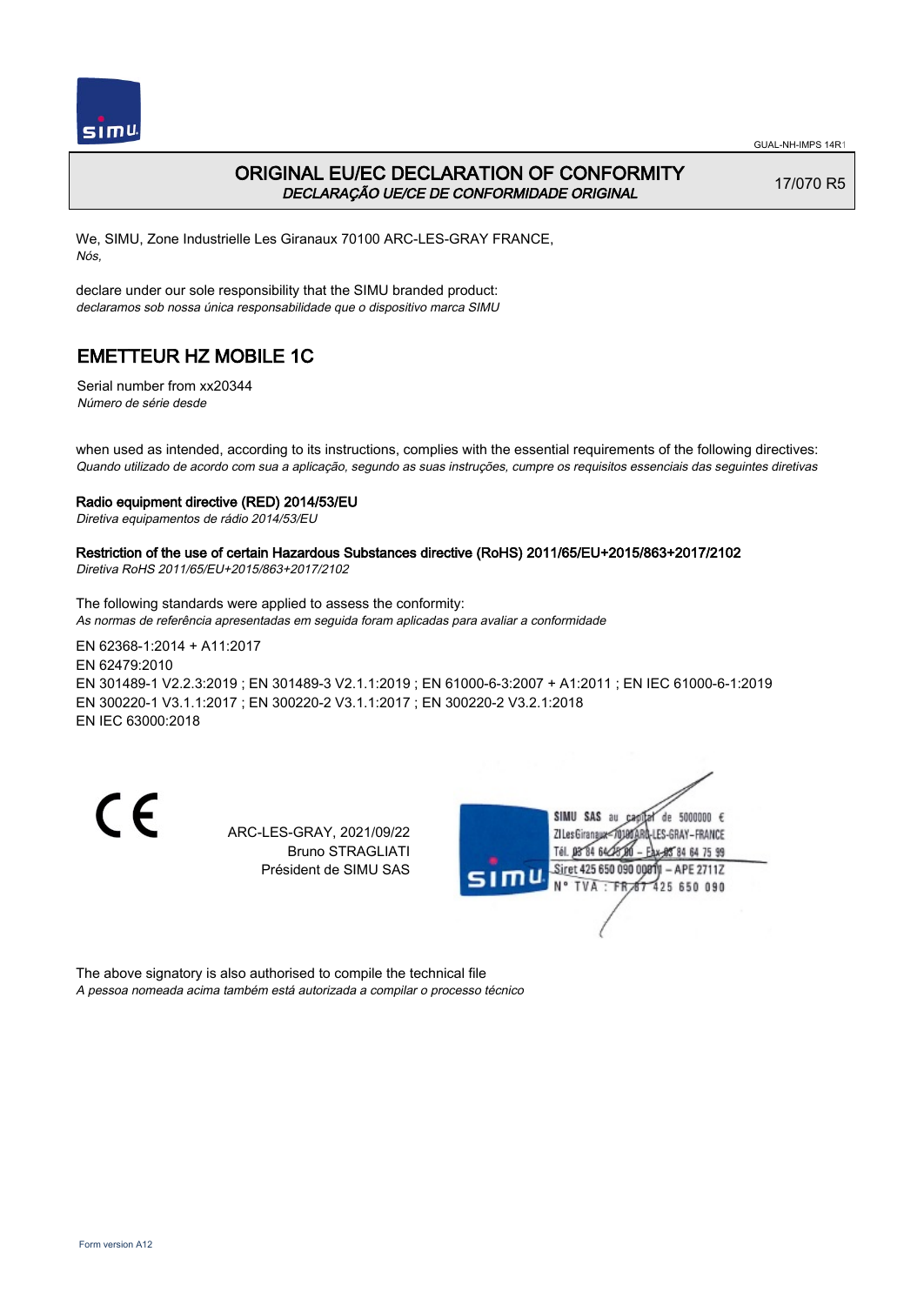

### ORIGINAL EU/EC DECLARATION OF CONFORMITY DECLARAÇÃO UE/CE DE CONFORMIDADE ORIGINAL

17/070 R5

We, SIMU, Zone Industrielle Les Giranaux 70100 ARC-LES-GRAY FRANCE, Nós,

declare under our sole responsibility that the SIMU branded product: declaramos sob nossa única responsabilidade que o dispositivo marca SIMU

## EMETTEUR HZ MOBILE 1C

Serial number from xx20344 Número de série desde

when used as intended, according to its instructions, complies with the essential requirements of the following directives: Quando utilizado de acordo com sua a aplicação, segundo as suas instruções, cumpre os requisitos essenciais das seguintes diretivas

#### Radio equipment directive (RED) 2014/53/EU

Diretiva equipamentos de rádio 2014/53/EU

### Restriction of the use of certain Hazardous Substances directive (RoHS) 2011/65/EU+2015/863+2017/2102

Diretiva RoHS 2011/65/EU+2015/863+2017/2102

The following standards were applied to assess the conformity: As normas de referência apresentadas em seguida foram aplicadas para avaliar a conformidade

EN 62368‑1:2014 + A11:2017 EN 62479:2010 EN 301489‑1 V2.2.3:2019 ; EN 301489‑3 V2.1.1:2019 ; EN 61000‑6‑3:2007 + A1:2011 ; EN IEC 61000‑6‑1:2019 EN 300220‑1 V3.1.1:2017 ; EN 300220‑2 V3.1.1:2017 ; EN 300220‑2 V3.2.1:2018 EN IEC 63000:2018

CE

ARC-LES-GRAY, 2021/09/22 Bruno STRAGLIATI Président de SIMU SAS



The above signatory is also authorised to compile the technical file A pessoa nomeada acima também está autorizada a compilar o processo técnico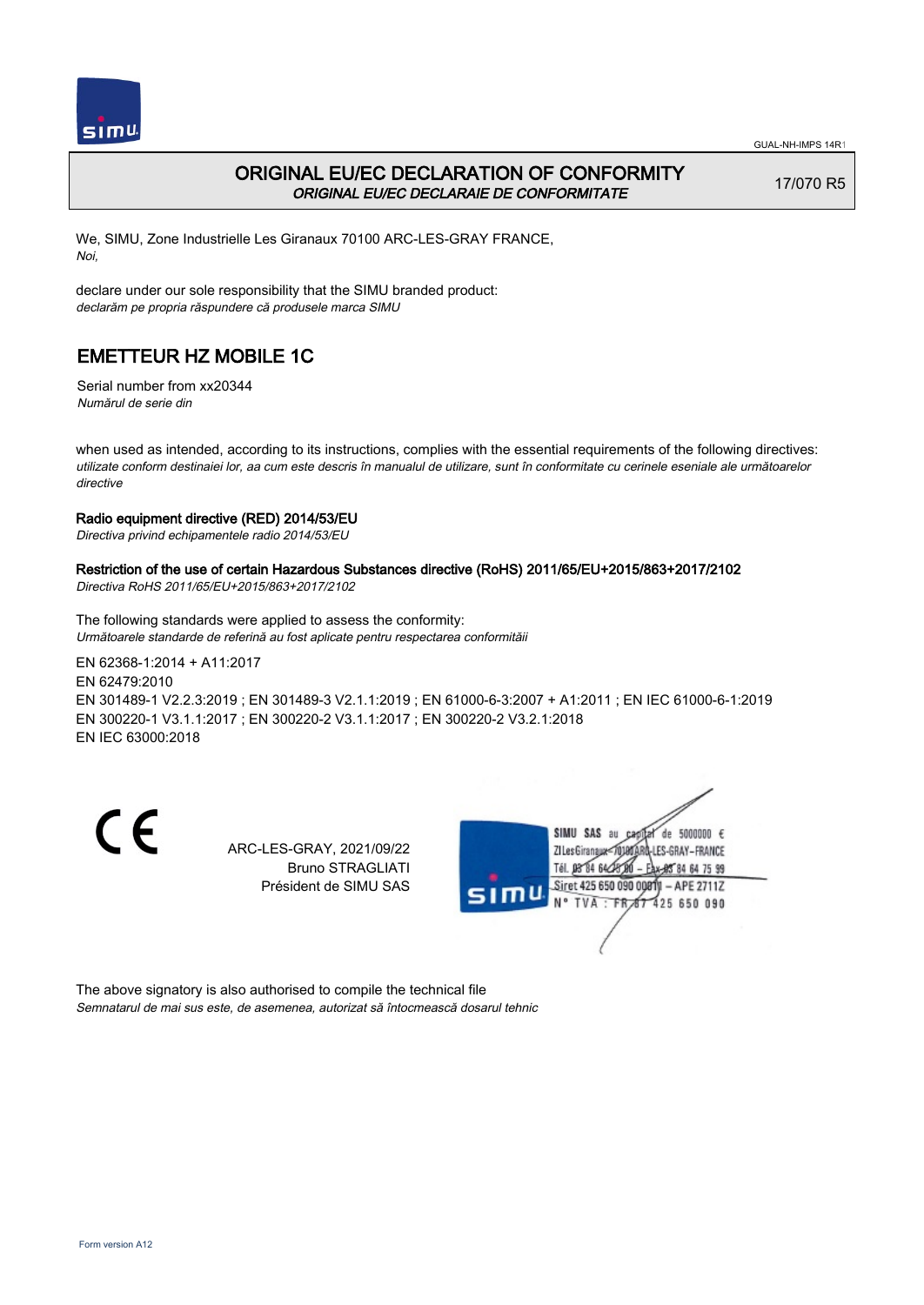

## ORIGINAL EU/EC DECLARATION OF CONFORMITY ORIGINAL EU/EC DECLARAIE DE CONFORMITATE

17/070 R5

We, SIMU, Zone Industrielle Les Giranaux 70100 ARC-LES-GRAY FRANCE, Noi,

declare under our sole responsibility that the SIMU branded product: declarăm pe propria răspundere că produsele marca SIMU

# EMETTEUR HZ MOBILE 1C

Serial number from xx20344 Numărul de serie din

when used as intended, according to its instructions, complies with the essential requirements of the following directives: utilizate conform destinaiei lor, aa cum este descris în manualul de utilizare, sunt în conformitate cu cerinele eseniale ale următoarelor directive

### Radio equipment directive (RED) 2014/53/EU

Directiva privind echipamentele radio 2014/53/EU

### Restriction of the use of certain Hazardous Substances directive (RoHS) 2011/65/EU+2015/863+2017/2102

Directiva RoHS 2011/65/EU+2015/863+2017/2102

The following standards were applied to assess the conformity: Următoarele standarde de referină au fost aplicate pentru respectarea conformităii

EN 62368‑1:2014 + A11:2017 EN 62479:2010 EN 301489‑1 V2.2.3:2019 ; EN 301489‑3 V2.1.1:2019 ; EN 61000‑6‑3:2007 + A1:2011 ; EN IEC 61000‑6‑1:2019 EN 300220‑1 V3.1.1:2017 ; EN 300220‑2 V3.1.1:2017 ; EN 300220‑2 V3.2.1:2018 EN IEC 63000:2018

CE

ARC-LES-GRAY, 2021/09/22 Bruno STRAGLIATI Président de SIMU SAS



The above signatory is also authorised to compile the technical file Semnatarul de mai sus este, de asemenea, autorizat să întocmească dosarul tehnic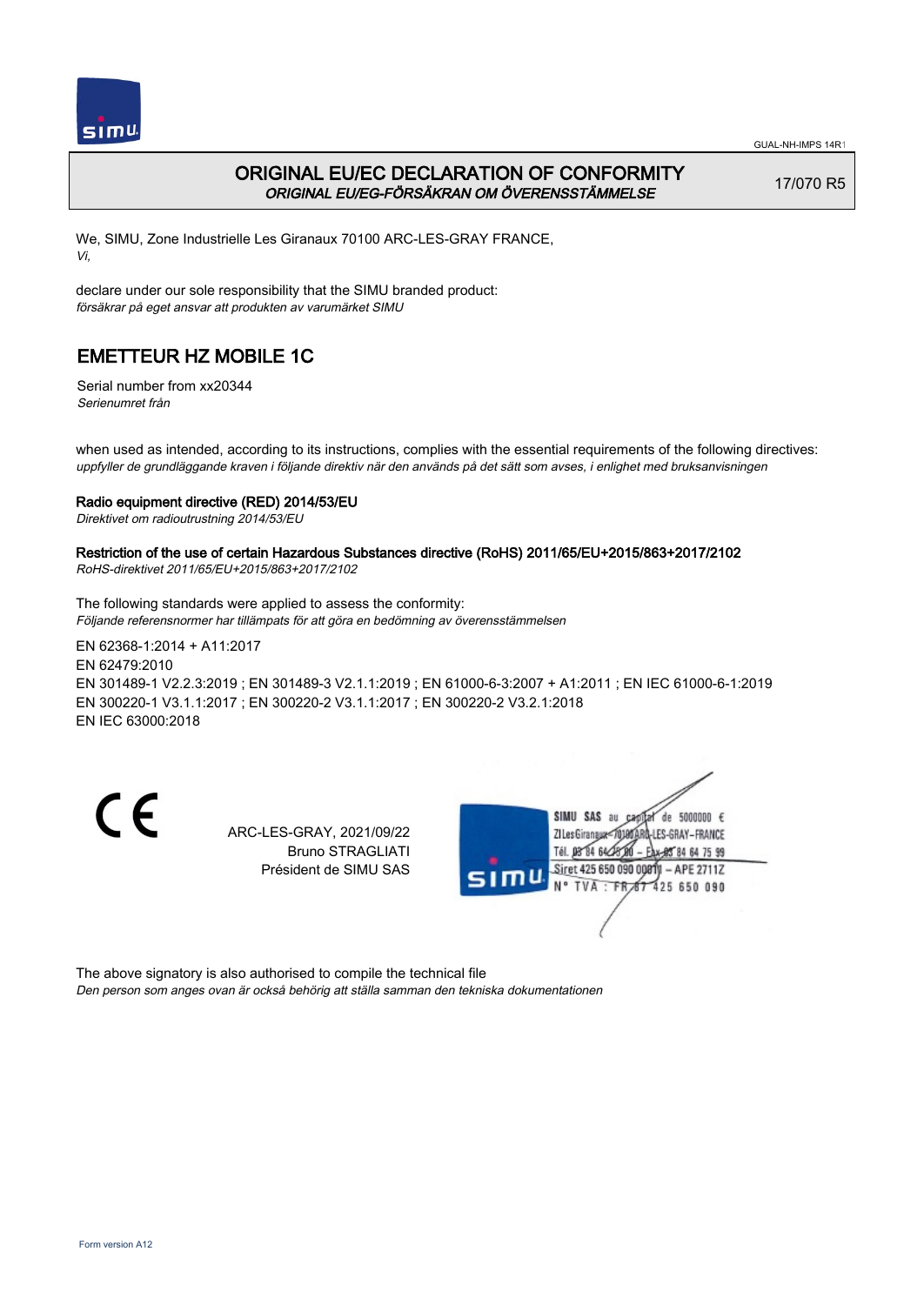

## ORIGINAL EU/EC DECLARATION OF CONFORMITY ORIGINAL EU/EG-FÖRSÄKRAN OM ÖVERENSSTÄMMELSE

17/070 R5

We, SIMU, Zone Industrielle Les Giranaux 70100 ARC-LES-GRAY FRANCE, Vi,

declare under our sole responsibility that the SIMU branded product: försäkrar på eget ansvar att produkten av varumärket SIMU

# EMETTEUR HZ MOBILE 1C

Serial number from xx20344 Serienumret från

when used as intended, according to its instructions, complies with the essential requirements of the following directives: uppfyller de grundläggande kraven i följande direktiv när den används på det sätt som avses, i enlighet med bruksanvisningen

### Radio equipment directive (RED) 2014/53/EU

Direktivet om radioutrustning 2014/53/EU

## Restriction of the use of certain Hazardous Substances directive (RoHS) 2011/65/EU+2015/863+2017/2102

RoHS-direktivet 2011/65/EU+2015/863+2017/2102

The following standards were applied to assess the conformity: Följande referensnormer har tillämpats för att göra en bedömning av överensstämmelsen

EN 62368‑1:2014 + A11:2017 EN 62479:2010 EN 301489‑1 V2.2.3:2019 ; EN 301489‑3 V2.1.1:2019 ; EN 61000‑6‑3:2007 + A1:2011 ; EN IEC 61000‑6‑1:2019 EN 300220‑1 V3.1.1:2017 ; EN 300220‑2 V3.1.1:2017 ; EN 300220‑2 V3.2.1:2018 EN IEC 63000:2018

CE

ARC-LES-GRAY, 2021/09/22 Bruno STRAGLIATI Président de SIMU SAS



The above signatory is also authorised to compile the technical file Den person som anges ovan är också behörig att ställa samman den tekniska dokumentationen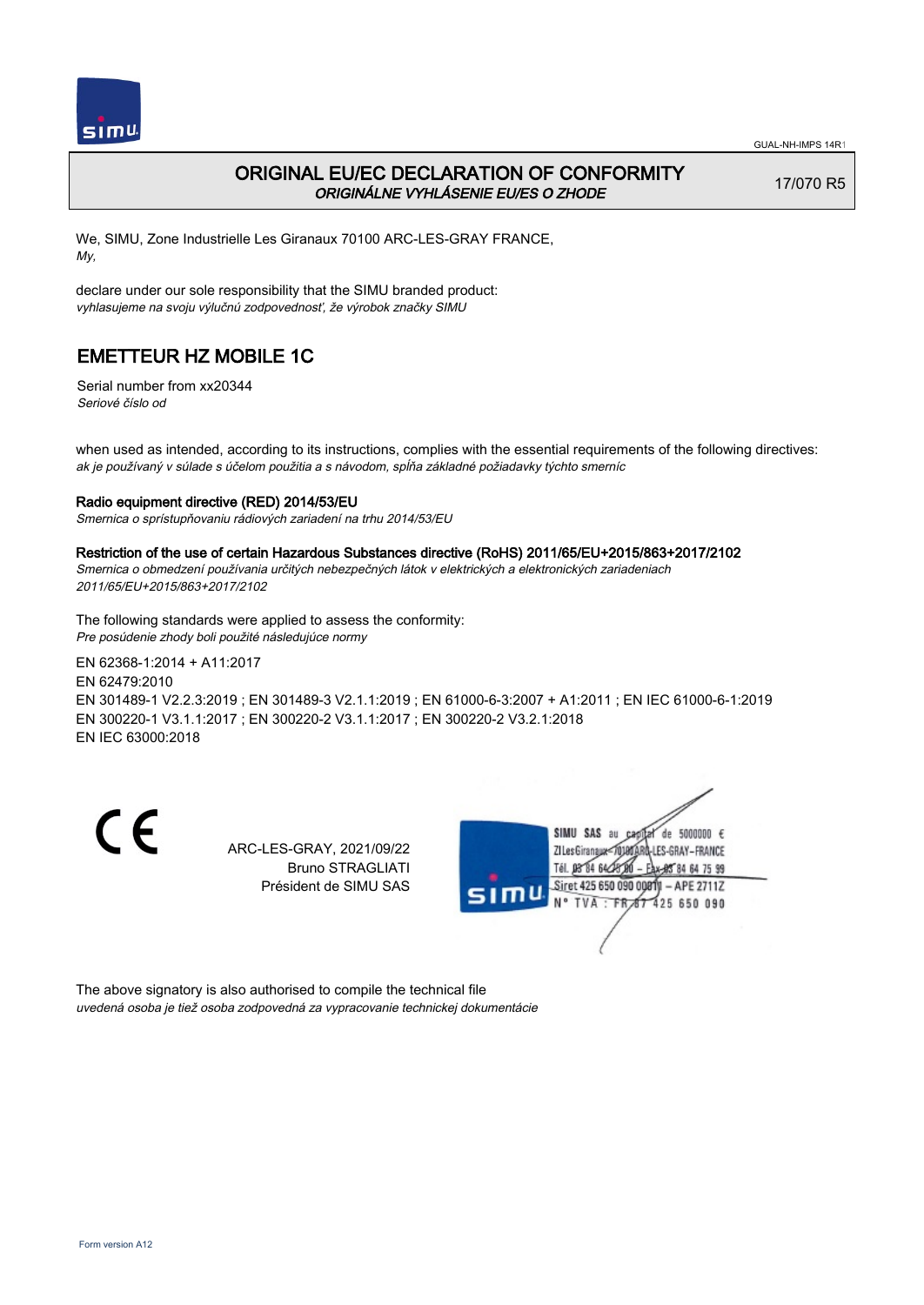

### ORIGINAL EU/EC DECLARATION OF CONFORMITY ORIGINÁLNE VYHLÁSENIE EU/ES O ZHODE

17/070 R5

We, SIMU, Zone Industrielle Les Giranaux 70100 ARC-LES-GRAY FRANCE, My,

declare under our sole responsibility that the SIMU branded product: vyhlasujeme na svoju výlučnú zodpovednosť, že výrobok značky SIMU

# EMETTEUR HZ MOBILE 1C

Serial number from xx20344 Seriové číslo od

when used as intended, according to its instructions, complies with the essential requirements of the following directives: ak je používaný v súlade s účelom použitia a s návodom, spĺňa základné požiadavky týchto smerníc

### Radio equipment directive (RED) 2014/53/EU

Smernica o sprístupňovaniu rádiových zariadení na trhu 2014/53/EU

#### Restriction of the use of certain Hazardous Substances directive (RoHS) 2011/65/EU+2015/863+2017/2102

Smernica o obmedzení používania určitých nebezpečných látok v elektrických a elektronických zariadeniach 2011/65/EU+2015/863+2017/2102

The following standards were applied to assess the conformity: Pre posúdenie zhody boli použité následujúce normy

EN 62368‑1:2014 + A11:2017 EN 62479:2010 EN 301489‑1 V2.2.3:2019 ; EN 301489‑3 V2.1.1:2019 ; EN 61000‑6‑3:2007 + A1:2011 ; EN IEC 61000‑6‑1:2019 EN 300220‑1 V3.1.1:2017 ; EN 300220‑2 V3.1.1:2017 ; EN 300220‑2 V3.2.1:2018 EN IEC 63000:2018

C E

ARC-LES-GRAY, 2021/09/22 Bruno STRAGLIATI Président de SIMU SAS



The above signatory is also authorised to compile the technical file uvedená osoba je tiež osoba zodpovedná za vypracovanie technickej dokumentácie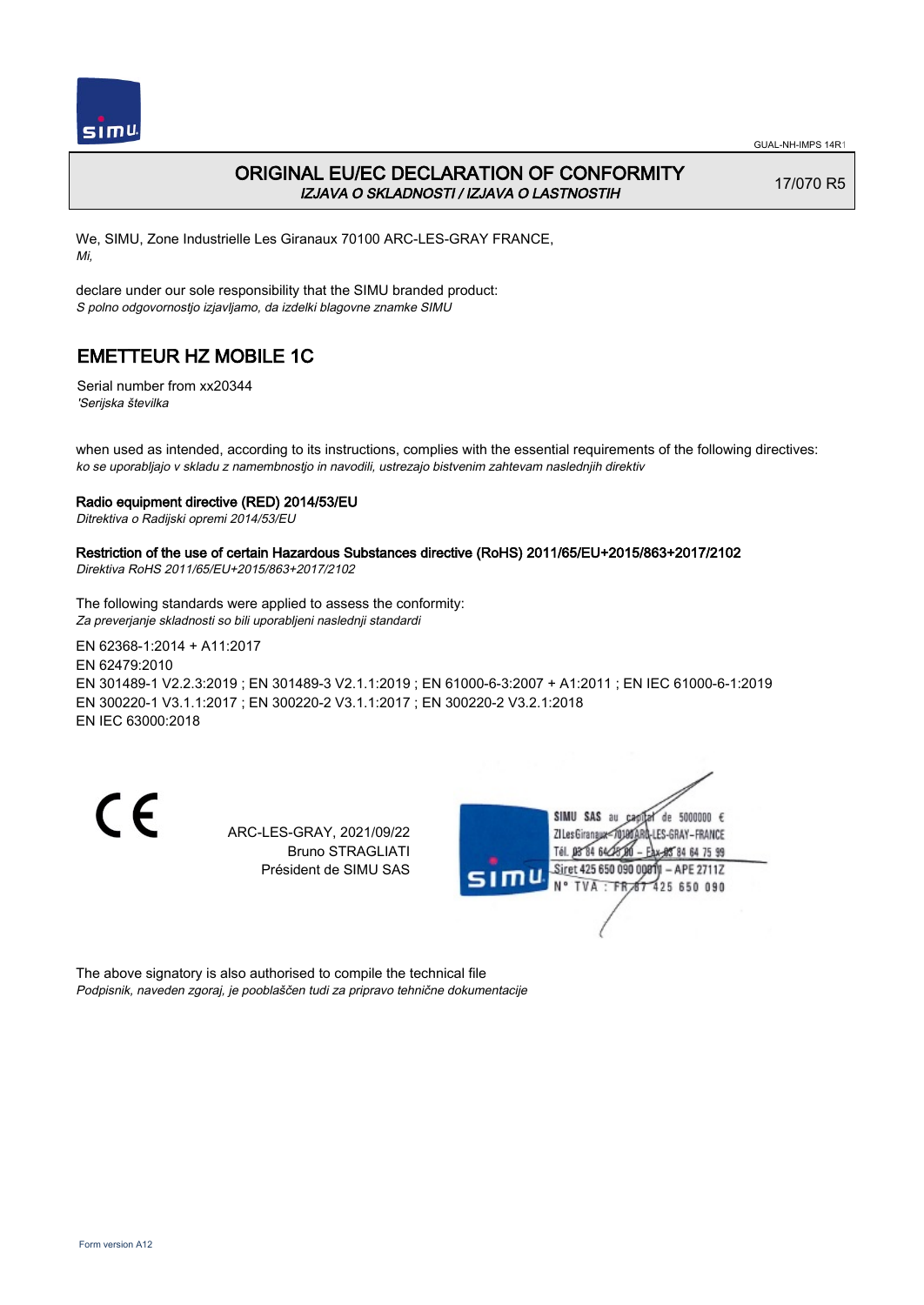

## ORIGINAL EU/EC DECLARATION OF CONFORMITY IZJAVA O SKLADNOSTI / IZJAVA O LASTNOSTIH

17/070 R5

We, SIMU, Zone Industrielle Les Giranaux 70100 ARC-LES-GRAY FRANCE, Mi,

declare under our sole responsibility that the SIMU branded product: S polno odgovornostjo izjavljamo, da izdelki blagovne znamke SIMU

# EMETTEUR HZ MOBILE 1C

Serial number from xx20344 'Serijska številka

when used as intended, according to its instructions, complies with the essential requirements of the following directives: ko se uporabljajo v skladu z namembnostjo in navodili, ustrezajo bistvenim zahtevam naslednjih direktiv

### Radio equipment directive (RED) 2014/53/EU

Ditrektiva o Radijski opremi 2014/53/EU

## Restriction of the use of certain Hazardous Substances directive (RoHS) 2011/65/EU+2015/863+2017/2102

Direktiva RoHS 2011/65/EU+2015/863+2017/2102

The following standards were applied to assess the conformity: Za preverjanje skladnosti so bili uporabljeni naslednji standardi

EN 62368‑1:2014 + A11:2017 EN 62479:2010 EN 301489‑1 V2.2.3:2019 ; EN 301489‑3 V2.1.1:2019 ; EN 61000‑6‑3:2007 + A1:2011 ; EN IEC 61000‑6‑1:2019 EN 300220‑1 V3.1.1:2017 ; EN 300220‑2 V3.1.1:2017 ; EN 300220‑2 V3.2.1:2018 EN IEC 63000:2018

CE

ARC-LES-GRAY, 2021/09/22 Bruno STRAGLIATI Président de SIMU SAS



The above signatory is also authorised to compile the technical file Podpisnik, naveden zgoraj, je pooblaščen tudi za pripravo tehnične dokumentacije